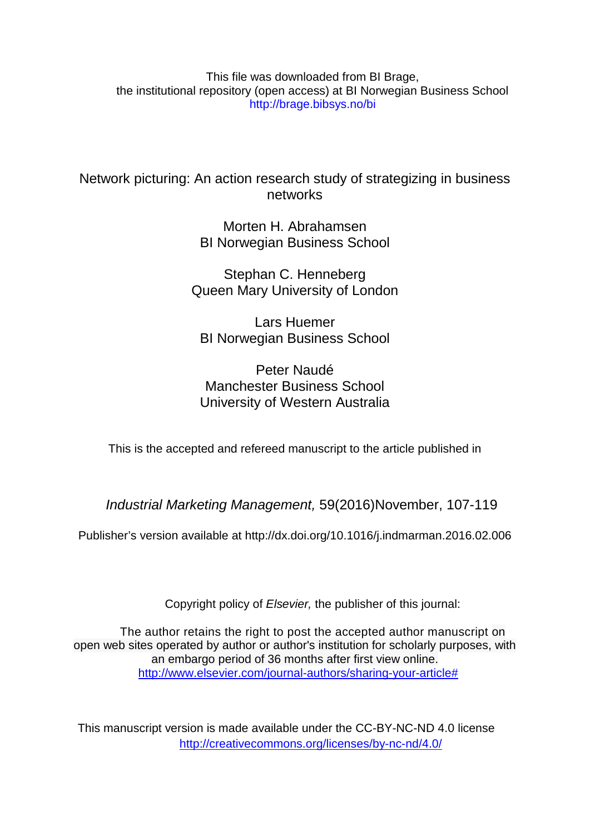This file was downloaded from BI Brage, the institutional repository (open access) at BI Norwegian Business School http://brage.bibsys.no/bi

Network picturing: An action research study of strategizing in business networks

> Morten H. Abrahamsen BI Norwegian Business School

Stephan C. Henneberg Queen Mary University of London

Lars Huemer BI Norwegian Business School

Peter Naudé Manchester Business School University of Western Australia

This is the accepted and refereed manuscript to the article published in

*Industrial Marketing Management,* 59(2016)November, 107-119

Publisher's version available at http://dx.doi.org[/10.1016/j.indmarman.2016.02.006](http://dx.doi.org.ezproxy.library.bi.no/10.1016/j.indmarman.2016.02.006)

Copyright policy of *Elsevier,* the publisher of this journal:

The author retains the right to post the accepted author manuscript on open web sites operated by author or author's institution for scholarly purposes, with an embargo period of 36 months after first view online. [http://www.elsevier.com/journal-authors/sharing-your-article#](http://www.elsevier.com/journal-authors/sharing-your-article)

This manuscript version is made available under the CC-BY-NC-ND 4.0 license <http://creativecommons.org/licenses/by-nc-nd/4.0/>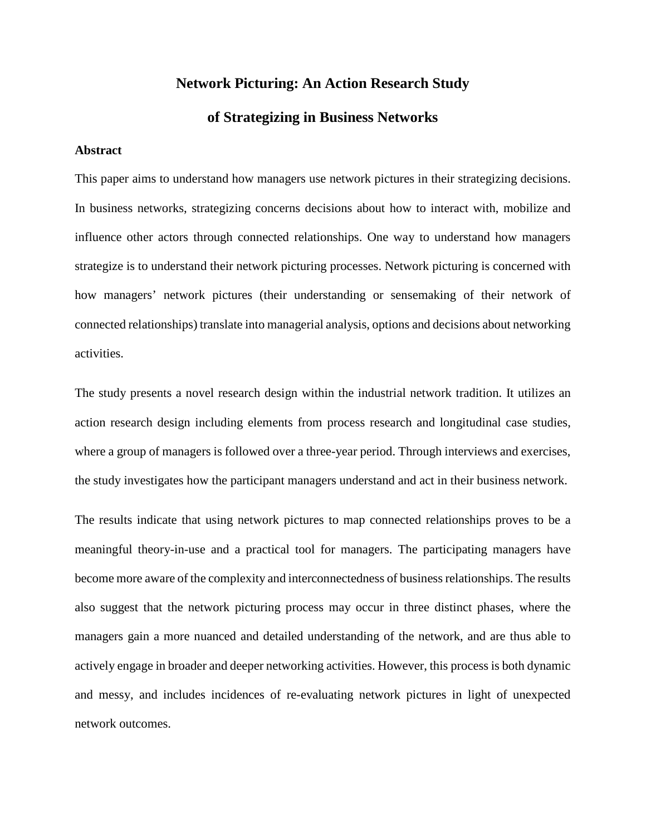## **Network Picturing: An Action Research Study**

## **of Strategizing in Business Networks**

#### **Abstract**

This paper aims to understand how managers use network pictures in their strategizing decisions. In business networks, strategizing concerns decisions about how to interact with, mobilize and influence other actors through connected relationships. One way to understand how managers strategize is to understand their network picturing processes. Network picturing is concerned with how managers' network pictures (their understanding or sensemaking of their network of connected relationships) translate into managerial analysis, options and decisions about networking activities.

The study presents a novel research design within the industrial network tradition. It utilizes an action research design including elements from process research and longitudinal case studies, where a group of managers is followed over a three-year period. Through interviews and exercises, the study investigates how the participant managers understand and act in their business network.

The results indicate that using network pictures to map connected relationships proves to be a meaningful theory-in-use and a practical tool for managers. The participating managers have become more aware of the complexity and interconnectedness of business relationships. The results also suggest that the network picturing process may occur in three distinct phases, where the managers gain a more nuanced and detailed understanding of the network, and are thus able to actively engage in broader and deeper networking activities. However, this process is both dynamic and messy, and includes incidences of re-evaluating network pictures in light of unexpected network outcomes.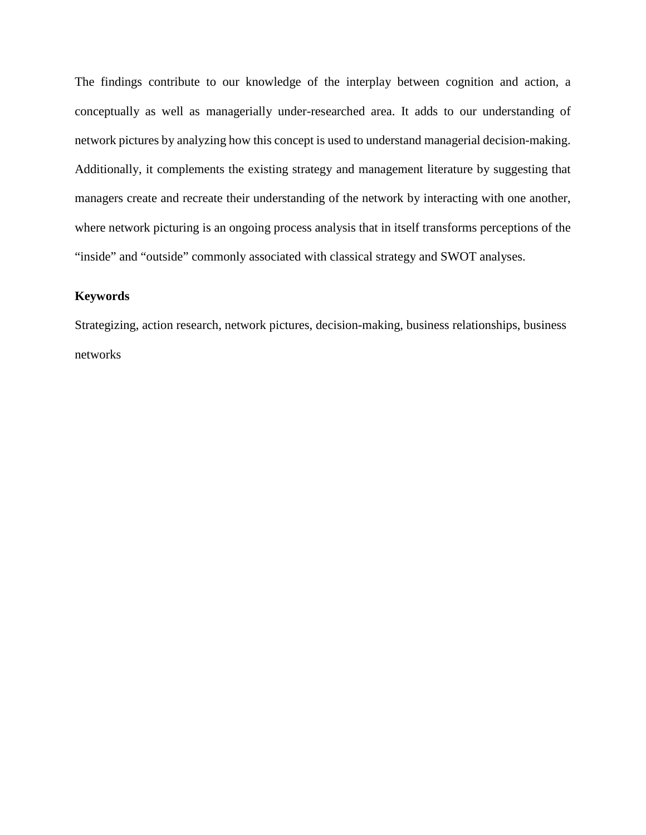The findings contribute to our knowledge of the interplay between cognition and action, a conceptually as well as managerially under-researched area. It adds to our understanding of network pictures by analyzing how this concept is used to understand managerial decision-making. Additionally, it complements the existing strategy and management literature by suggesting that managers create and recreate their understanding of the network by interacting with one another, where network picturing is an ongoing process analysis that in itself transforms perceptions of the "inside" and "outside" commonly associated with classical strategy and SWOT analyses.

## **Keywords**

Strategizing, action research, network pictures, decision-making, business relationships, business networks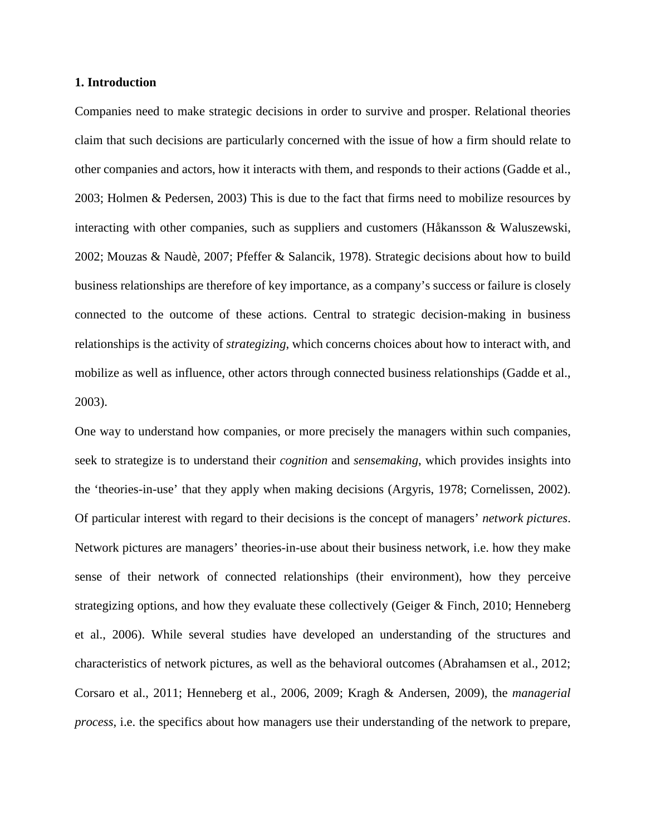#### **1. Introduction**

Companies need to make strategic decisions in order to survive and prosper. Relational theories claim that such decisions are particularly concerned with the issue of how a firm should relate to other companies and actors, how it interacts with them, and responds to their actions (Gadde et al., 2003; Holmen & Pedersen, 2003) This is due to the fact that firms need to mobilize resources by interacting with other companies, such as suppliers and customers (Håkansson & Waluszewski, 2002; Mouzas & Naudè, 2007; Pfeffer & Salancik, 1978). Strategic decisions about how to build business relationships are therefore of key importance, as a company's success or failure is closely connected to the outcome of these actions. Central to strategic decision-making in business relationships is the activity of *strategizing*, which concerns choices about how to interact with, and mobilize as well as influence, other actors through connected business relationships (Gadde et al., 2003).

One way to understand how companies, or more precisely the managers within such companies, seek to strategize is to understand their *cognition* and *sensemaking*, which provides insights into the 'theories-in-use' that they apply when making decisions (Argyris, 1978; Cornelissen, 2002). Of particular interest with regard to their decisions is the concept of managers' *network pictures*. Network pictures are managers' theories-in-use about their business network, i.e. how they make sense of their network of connected relationships (their environment), how they perceive strategizing options, and how they evaluate these collectively (Geiger & Finch, 2010; Henneberg et al., 2006). While several studies have developed an understanding of the structures and characteristics of network pictures, as well as the behavioral outcomes (Abrahamsen et al., 2012; Corsaro et al., 2011; Henneberg et al., 2006, 2009; Kragh & Andersen, 2009), the *managerial process*, i.e. the specifics about how managers use their understanding of the network to prepare,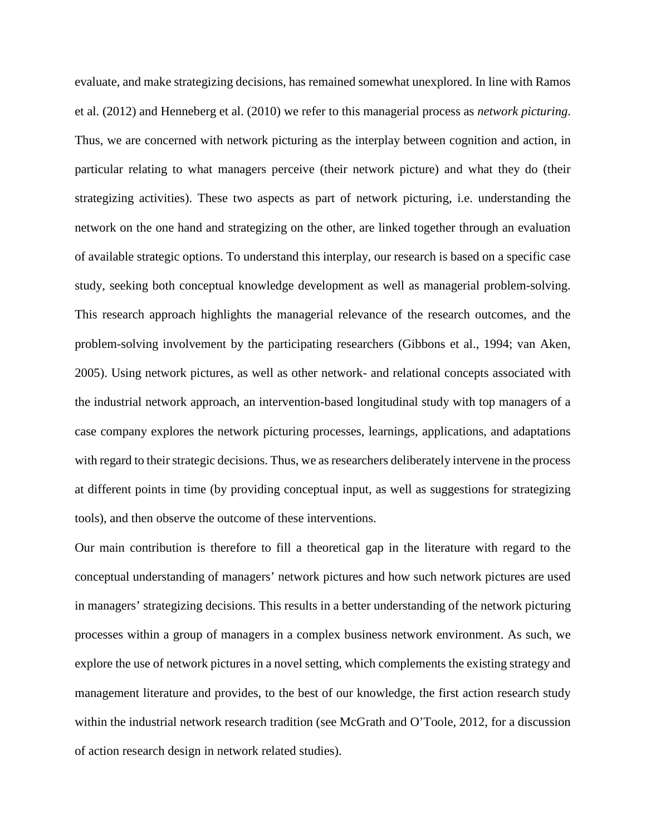evaluate, and make strategizing decisions, has remained somewhat unexplored. In line with Ramos et al. (2012) and Henneberg et al. (2010) we refer to this managerial process as *network picturing*. Thus, we are concerned with network picturing as the interplay between cognition and action, in particular relating to what managers perceive (their network picture) and what they do (their strategizing activities). These two aspects as part of network picturing, i.e. understanding the network on the one hand and strategizing on the other, are linked together through an evaluation of available strategic options. To understand this interplay, our research is based on a specific case study, seeking both conceptual knowledge development as well as managerial problem-solving. This research approach highlights the managerial relevance of the research outcomes, and the problem-solving involvement by the participating researchers (Gibbons et al., 1994; van Aken, 2005). Using network pictures, as well as other network- and relational concepts associated with the industrial network approach, an intervention-based longitudinal study with top managers of a case company explores the network picturing processes, learnings, applications, and adaptations with regard to their strategic decisions. Thus, we as researchers deliberately intervene in the process at different points in time (by providing conceptual input, as well as suggestions for strategizing tools), and then observe the outcome of these interventions.

Our main contribution is therefore to fill a theoretical gap in the literature with regard to the conceptual understanding of managers' network pictures and how such network pictures are used in managers' strategizing decisions. This results in a better understanding of the network picturing processes within a group of managers in a complex business network environment. As such, we explore the use of network pictures in a novel setting, which complements the existing strategy and management literature and provides, to the best of our knowledge, the first action research study within the industrial network research tradition (see McGrath and O'Toole, 2012, for a discussion of action research design in network related studies).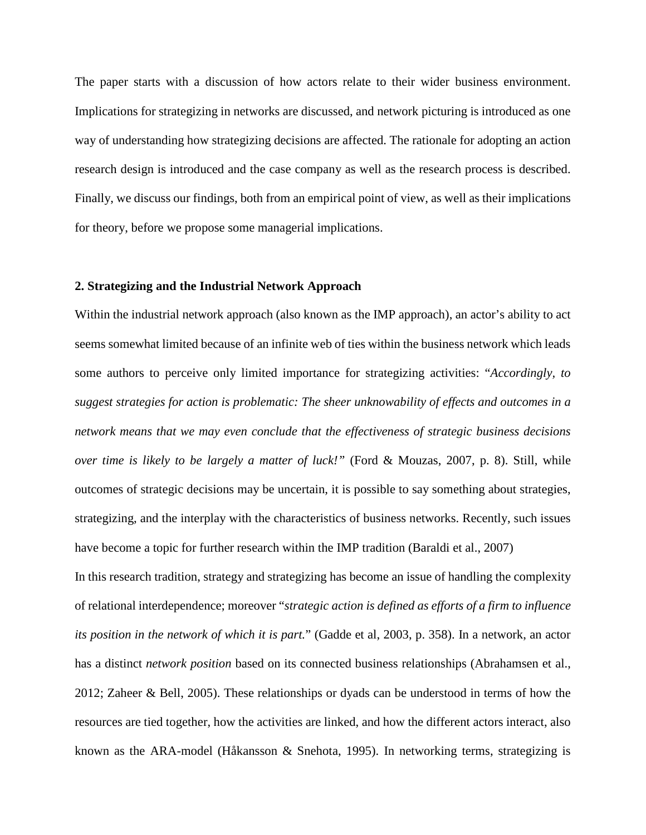The paper starts with a discussion of how actors relate to their wider business environment. Implications for strategizing in networks are discussed, and network picturing is introduced as one way of understanding how strategizing decisions are affected. The rationale for adopting an action research design is introduced and the case company as well as the research process is described. Finally, we discuss our findings, both from an empirical point of view, as well as their implications for theory, before we propose some managerial implications.

#### **2. Strategizing and the Industrial Network Approach**

Within the industrial network approach (also known as the IMP approach), an actor's ability to act seems somewhat limited because of an infinite web of ties within the business network which leads some authors to perceive only limited importance for strategizing activities: "*Accordingly, to suggest strategies for action is problematic: The sheer unknowability of effects and outcomes in a network means that we may even conclude that the effectiveness of strategic business decisions over time is likely to be largely a matter of luck!"* (Ford & Mouzas, 2007, p. 8). Still, while outcomes of strategic decisions may be uncertain, it is possible to say something about strategies, strategizing, and the interplay with the characteristics of business networks. Recently, such issues have become a topic for further research within the IMP tradition (Baraldi et al., 2007)

In this research tradition, strategy and strategizing has become an issue of handling the complexity of relational interdependence; moreover "*strategic action is defined as efforts of a firm to influence its position in the network of which it is part.*" (Gadde et al, 2003, p. 358). In a network, an actor has a distinct *network position* based on its connected business relationships (Abrahamsen et al., 2012; Zaheer & Bell, 2005). These relationships or dyads can be understood in terms of how the resources are tied together, how the activities are linked, and how the different actors interact, also known as the ARA-model (Håkansson & Snehota, 1995). In networking terms, strategizing is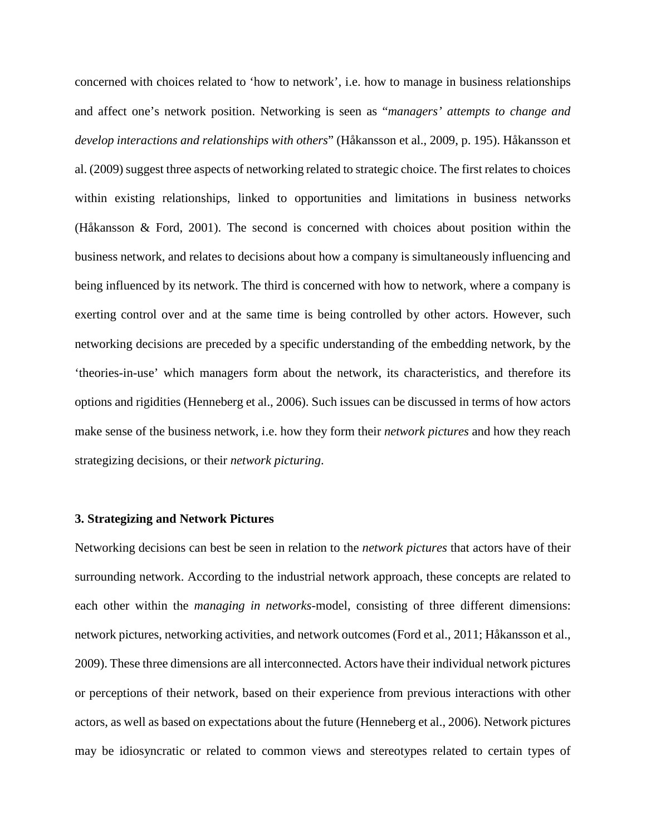concerned with choices related to 'how to network', i.e. how to manage in business relationships and affect one's network position. Networking is seen as "*managers' attempts to change and develop interactions and relationships with others*" (Håkansson et al., 2009, p. 195). Håkansson et al. (2009) suggest three aspects of networking related to strategic choice. The first relates to choices within existing relationships, linked to opportunities and limitations in business networks (Håkansson & Ford, 2001). The second is concerned with choices about position within the business network, and relates to decisions about how a company is simultaneously influencing and being influenced by its network. The third is concerned with how to network, where a company is exerting control over and at the same time is being controlled by other actors. However, such networking decisions are preceded by a specific understanding of the embedding network, by the 'theories-in-use' which managers form about the network, its characteristics, and therefore its options and rigidities (Henneberg et al., 2006). Such issues can be discussed in terms of how actors make sense of the business network, i.e. how they form their *network pictures* and how they reach strategizing decisions, or their *network picturing*.

#### **3. Strategizing and Network Pictures**

Networking decisions can best be seen in relation to the *network pictures* that actors have of their surrounding network. According to the industrial network approach, these concepts are related to each other within the *managing in networks*-model, consisting of three different dimensions: network pictures, networking activities, and network outcomes (Ford et al., 2011; Håkansson et al., 2009). These three dimensions are all interconnected. Actors have their individual network pictures or perceptions of their network, based on their experience from previous interactions with other actors, as well as based on expectations about the future (Henneberg et al., 2006). Network pictures may be idiosyncratic or related to common views and stereotypes related to certain types of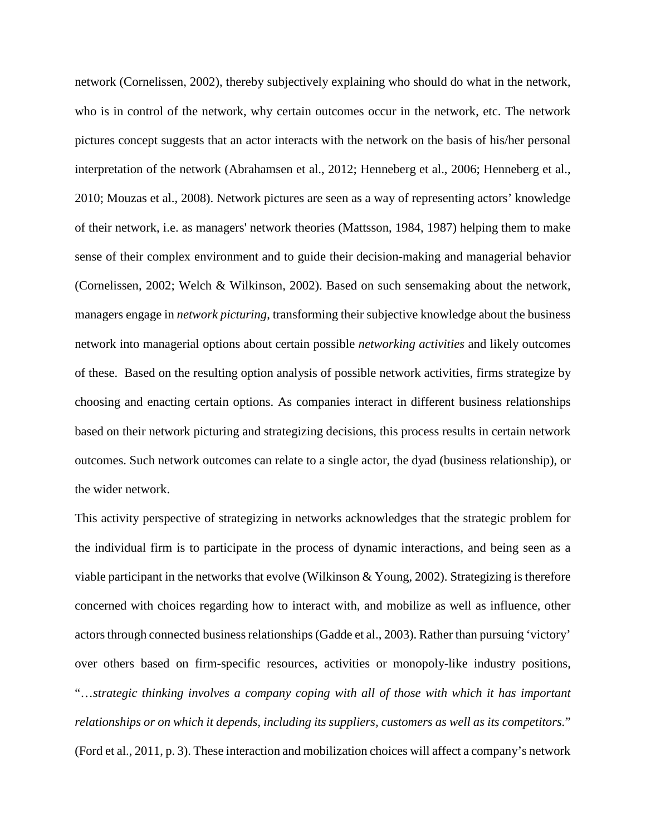network (Cornelissen, 2002), thereby subjectively explaining who should do what in the network, who is in control of the network, why certain outcomes occur in the network, etc. The network pictures concept suggests that an actor interacts with the network on the basis of his/her personal interpretation of the network (Abrahamsen et al., 2012; Henneberg et al., 2006; Henneberg et al., 2010; Mouzas et al., 2008). Network pictures are seen as a way of representing actors' knowledge of their network, i.e. as managers' network theories (Mattsson, 1984, 1987) helping them to make sense of their complex environment and to guide their decision-making and managerial behavior (Cornelissen, 2002; Welch & Wilkinson, 2002). Based on such sensemaking about the network, managers engage in *network picturing*, transforming their subjective knowledge about the business network into managerial options about certain possible *networking activities* and likely outcomes of these. Based on the resulting option analysis of possible network activities, firms strategize by choosing and enacting certain options. As companies interact in different business relationships based on their network picturing and strategizing decisions, this process results in certain network outcomes. Such network outcomes can relate to a single actor, the dyad (business relationship), or the wider network.

This activity perspective of strategizing in networks acknowledges that the strategic problem for the individual firm is to participate in the process of dynamic interactions, and being seen as a viable participant in the networks that evolve (Wilkinson & Young, 2002). Strategizing is therefore concerned with choices regarding how to interact with, and mobilize as well as influence, other actors through connected business relationships (Gadde et al., 2003). Rather than pursuing 'victory' over others based on firm-specific resources, activities or monopoly-like industry positions, "…*strategic thinking involves a company coping with all of those with which it has important relationships or on which it depends, including its suppliers, customers as well as its competitors.*" (Ford et al., 2011, p. 3). These interaction and mobilization choices will affect a company's network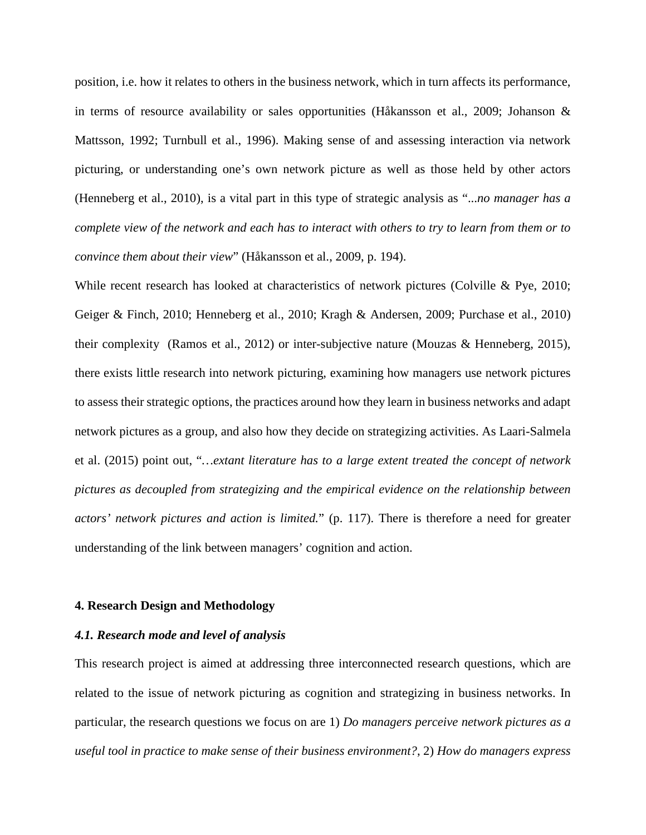position, i.e. how it relates to others in the business network, which in turn affects its performance, in terms of resource availability or sales opportunities (Håkansson et al., 2009; Johanson & Mattsson, 1992; Turnbull et al., 1996). Making sense of and assessing interaction via network picturing, or understanding one's own network picture as well as those held by other actors (Henneberg et al., 2010), is a vital part in this type of strategic analysis as "...*no manager has a complete view of the network and each has to interact with others to try to learn from them or to convince them about their view*" (Håkansson et al., 2009, p. 194).

While recent research has looked at characteristics of network pictures (Colville & Pye, 2010; Geiger & Finch, 2010; Henneberg et al., 2010; Kragh & Andersen, 2009; Purchase et al., 2010) their complexity (Ramos et al., 2012) or inter-subjective nature (Mouzas & Henneberg, 2015), there exists little research into network picturing, examining how managers use network pictures to assess their strategic options, the practices around how they learn in business networks and adapt network pictures as a group, and also how they decide on strategizing activities. As Laari-Salmela et al. (2015) point out, "*…extant literature has to a large extent treated the concept of network pictures as decoupled from strategizing and the empirical evidence on the relationship between actors' network pictures and action is limited.*" (p. 117). There is therefore a need for greater understanding of the link between managers' cognition and action.

#### **4. Research Design and Methodology**

#### *4.1. Research mode and level of analysis*

This research project is aimed at addressing three interconnected research questions, which are related to the issue of network picturing as cognition and strategizing in business networks. In particular, the research questions we focus on are 1) *Do managers perceive network pictures as a useful tool in practice to make sense of their business environment?*, 2) *How do managers express*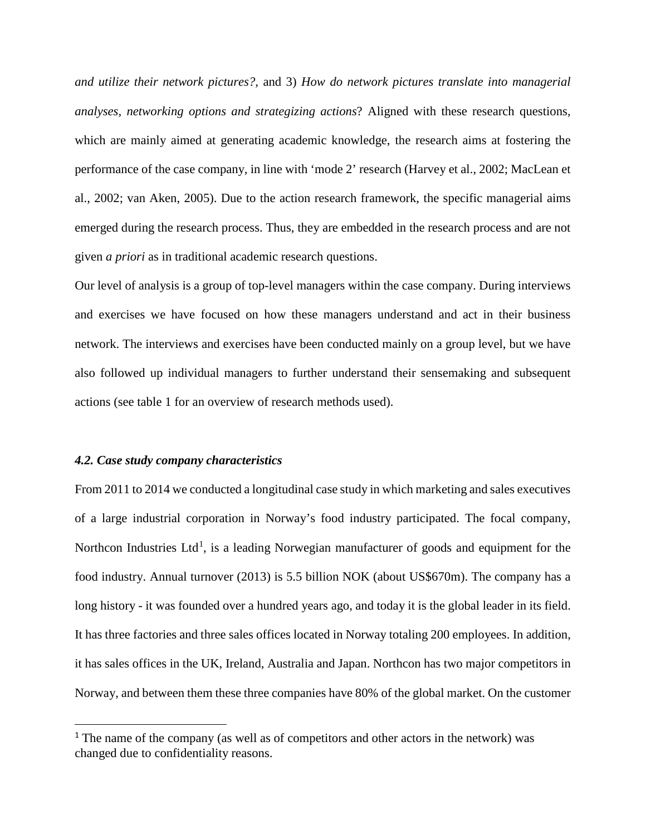*and utilize their network pictures?,* and 3) *How do network pictures translate into managerial analyses, networking options and strategizing actions*? Aligned with these research questions, which are mainly aimed at generating academic knowledge, the research aims at fostering the performance of the case company, in line with 'mode 2' research (Harvey et al., 2002; MacLean et al., 2002; van Aken, 2005). Due to the action research framework, the specific managerial aims emerged during the research process. Thus, they are embedded in the research process and are not given *a priori* as in traditional academic research questions.

Our level of analysis is a group of top-level managers within the case company. During interviews and exercises we have focused on how these managers understand and act in their business network. The interviews and exercises have been conducted mainly on a group level, but we have also followed up individual managers to further understand their sensemaking and subsequent actions (see table 1 for an overview of research methods used).

#### *4.2. Case study company characteristics*

From 2011 to 2014 we conducted a longitudinal case study in which marketing and sales executives of a large industrial corporation in Norway's food industry participated. The focal company, Northcon Industries Ltd<sup>[1](#page-9-0)</sup>, is a leading Norwegian manufacturer of goods and equipment for the food industry. Annual turnover (2013) is 5.5 billion NOK (about US\$670m). The company has a long history - it was founded over a hundred years ago, and today it is the global leader in its field. It has three factories and three sales offices located in Norway totaling 200 employees. In addition, it has sales offices in the UK, Ireland, Australia and Japan. Northcon has two major competitors in Norway, and between them these three companies have 80% of the global market. On the customer

<span id="page-9-0"></span><sup>&</sup>lt;sup>1</sup> The name of the company (as well as of competitors and other actors in the network) was changed due to confidentiality reasons.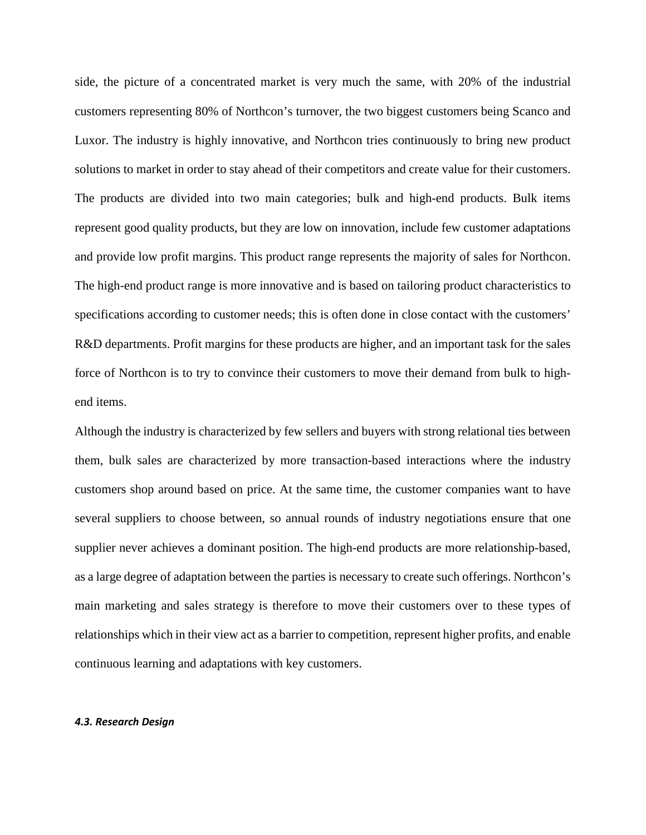side, the picture of a concentrated market is very much the same, with 20% of the industrial customers representing 80% of Northcon's turnover, the two biggest customers being Scanco and Luxor. The industry is highly innovative, and Northcon tries continuously to bring new product solutions to market in order to stay ahead of their competitors and create value for their customers. The products are divided into two main categories; bulk and high-end products. Bulk items represent good quality products, but they are low on innovation, include few customer adaptations and provide low profit margins. This product range represents the majority of sales for Northcon. The high-end product range is more innovative and is based on tailoring product characteristics to specifications according to customer needs; this is often done in close contact with the customers' R&D departments. Profit margins for these products are higher, and an important task for the sales force of Northcon is to try to convince their customers to move their demand from bulk to highend items.

Although the industry is characterized by few sellers and buyers with strong relational ties between them, bulk sales are characterized by more transaction-based interactions where the industry customers shop around based on price. At the same time, the customer companies want to have several suppliers to choose between, so annual rounds of industry negotiations ensure that one supplier never achieves a dominant position. The high-end products are more relationship-based, as a large degree of adaptation between the parties is necessary to create such offerings. Northcon's main marketing and sales strategy is therefore to move their customers over to these types of relationships which in their view act as a barrier to competition, represent higher profits, and enable continuous learning and adaptations with key customers.

#### *4.3. Research Design*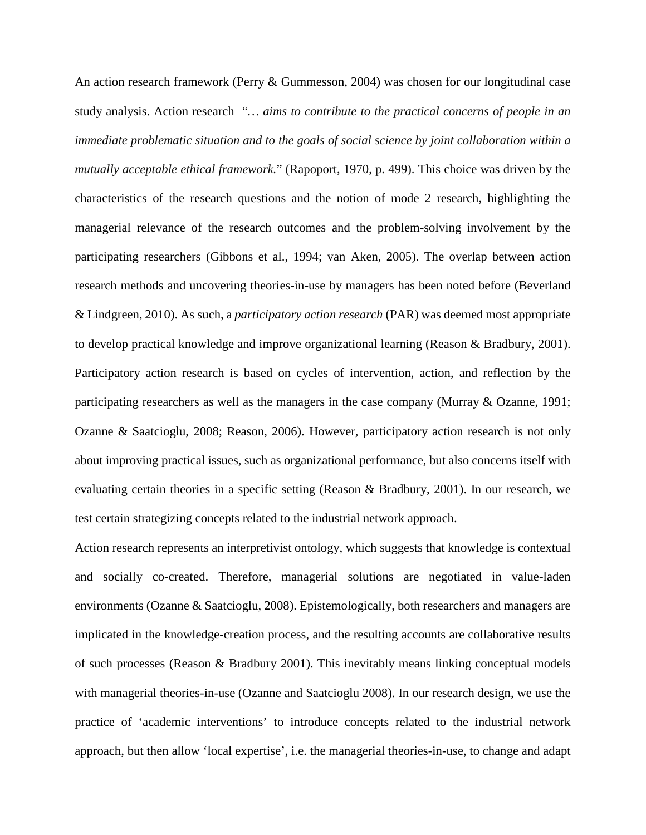An action research framework (Perry & Gummesson, 2004) was chosen for our longitudinal case study analysis. Action research "*… aims to contribute to the practical concerns of people in an immediate problematic situation and to the goals of social science by joint collaboration within a mutually acceptable ethical framework.*" (Rapoport, 1970, p. 499). This choice was driven by the characteristics of the research questions and the notion of mode 2 research, highlighting the managerial relevance of the research outcomes and the problem-solving involvement by the participating researchers (Gibbons et al., 1994; van Aken, 2005). The overlap between action research methods and uncovering theories-in-use by managers has been noted before (Beverland & Lindgreen, 2010). As such, a *participatory action research* (PAR) was deemed most appropriate to develop practical knowledge and improve organizational learning (Reason & Bradbury, 2001). Participatory action research is based on cycles of intervention, action, and reflection by the participating researchers as well as the managers in the case company (Murray & Ozanne, 1991; Ozanne & Saatcioglu, 2008; Reason, 2006). However, participatory action research is not only about improving practical issues, such as organizational performance, but also concerns itself with evaluating certain theories in a specific setting (Reason & Bradbury, 2001). In our research, we test certain strategizing concepts related to the industrial network approach.

Action research represents an interpretivist ontology, which suggests that knowledge is contextual and socially co-created. Therefore, managerial solutions are negotiated in value-laden environments (Ozanne & Saatcioglu, 2008). Epistemologically, both researchers and managers are implicated in the knowledge-creation process, and the resulting accounts are collaborative results of such processes (Reason & Bradbury 2001). This inevitably means linking conceptual models with managerial theories-in-use (Ozanne and Saatcioglu 2008). In our research design, we use the practice of 'academic interventions' to introduce concepts related to the industrial network approach, but then allow 'local expertise', i.e. the managerial theories-in-use, to change and adapt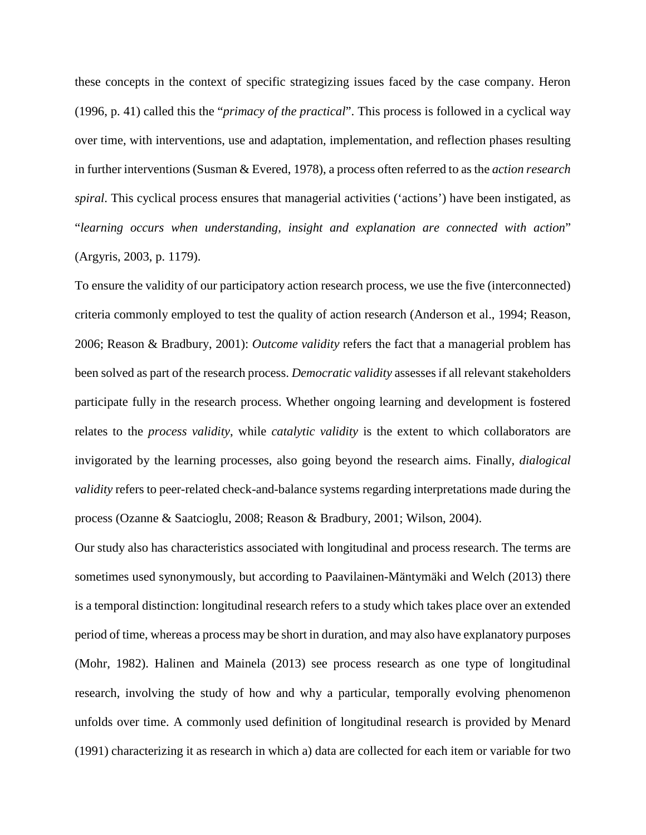these concepts in the context of specific strategizing issues faced by the case company. Heron (1996, p. 41) called this the "*primacy of the practical*". This process is followed in a cyclical way over time, with interventions, use and adaptation, implementation, and reflection phases resulting in further interventions (Susman & Evered, 1978), a process often referred to as the *action research spiral*. This cyclical process ensures that managerial activities ('actions') have been instigated, as "*learning occurs when understanding, insight and explanation are connected with action*" (Argyris, 2003, p. 1179).

To ensure the validity of our participatory action research process, we use the five (interconnected) criteria commonly employed to test the quality of action research (Anderson et al., 1994; Reason, 2006; Reason & Bradbury, 2001): *Outcome validity* refers the fact that a managerial problem has been solved as part of the research process. *Democratic validity* assesses if all relevant stakeholders participate fully in the research process. Whether ongoing learning and development is fostered relates to the *process validity*, while *catalytic validity* is the extent to which collaborators are invigorated by the learning processes, also going beyond the research aims. Finally, *dialogical validity* refers to peer-related check-and-balance systems regarding interpretations made during the process (Ozanne & Saatcioglu, 2008; Reason & Bradbury, 2001; Wilson, 2004).

Our study also has characteristics associated with longitudinal and process research. The terms are sometimes used synonymously, but according to Paavilainen-Mäntymäki and Welch (2013) there is a temporal distinction: longitudinal research refers to a study which takes place over an extended period of time, whereas a process may be short in duration, and may also have explanatory purposes (Mohr, 1982). Halinen and Mainela (2013) see process research as one type of longitudinal research, involving the study of how and why a particular, temporally evolving phenomenon unfolds over time. A commonly used definition of longitudinal research is provided by Menard (1991) characterizing it as research in which a) data are collected for each item or variable for two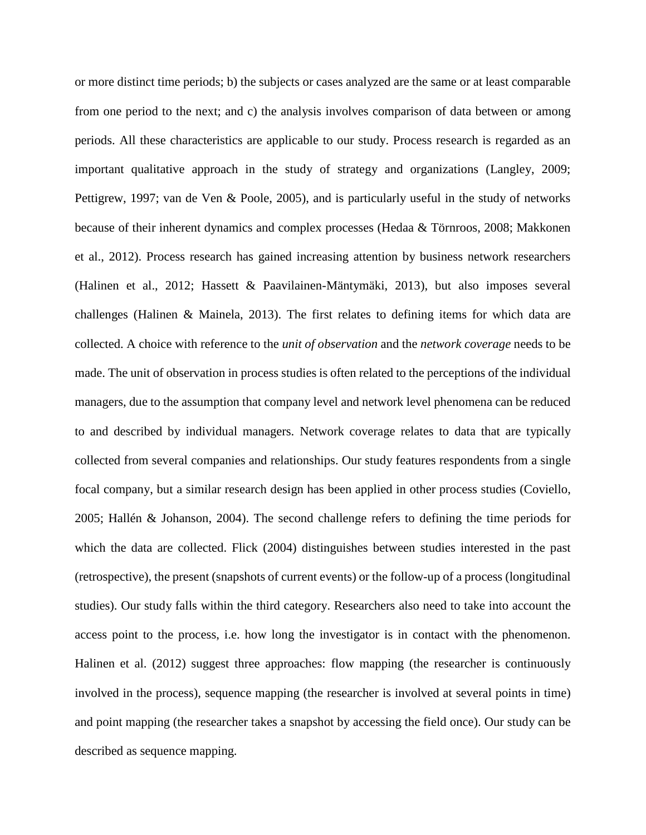or more distinct time periods; b) the subjects or cases analyzed are the same or at least comparable from one period to the next; and c) the analysis involves comparison of data between or among periods. All these characteristics are applicable to our study. Process research is regarded as an important qualitative approach in the study of strategy and organizations (Langley, 2009; Pettigrew, 1997; van de Ven & Poole, 2005), and is particularly useful in the study of networks because of their inherent dynamics and complex processes (Hedaa & Törnroos, 2008; Makkonen et al., 2012). Process research has gained increasing attention by business network researchers (Halinen et al., 2012; Hassett & Paavilainen-Mäntymäki, 2013), but also imposes several challenges (Halinen & Mainela, 2013). The first relates to defining items for which data are collected. A choice with reference to the *unit of observation* and the *network coverage* needs to be made. The unit of observation in process studies is often related to the perceptions of the individual managers, due to the assumption that company level and network level phenomena can be reduced to and described by individual managers. Network coverage relates to data that are typically collected from several companies and relationships. Our study features respondents from a single focal company, but a similar research design has been applied in other process studies (Coviello, 2005; Hallén & Johanson, 2004). The second challenge refers to defining the time periods for which the data are collected. Flick (2004) distinguishes between studies interested in the past (retrospective), the present (snapshots of current events) or the follow-up of a process (longitudinal studies). Our study falls within the third category. Researchers also need to take into account the access point to the process, i.e. how long the investigator is in contact with the phenomenon. Halinen et al. (2012) suggest three approaches: flow mapping (the researcher is continuously involved in the process), sequence mapping (the researcher is involved at several points in time) and point mapping (the researcher takes a snapshot by accessing the field once). Our study can be described as sequence mapping.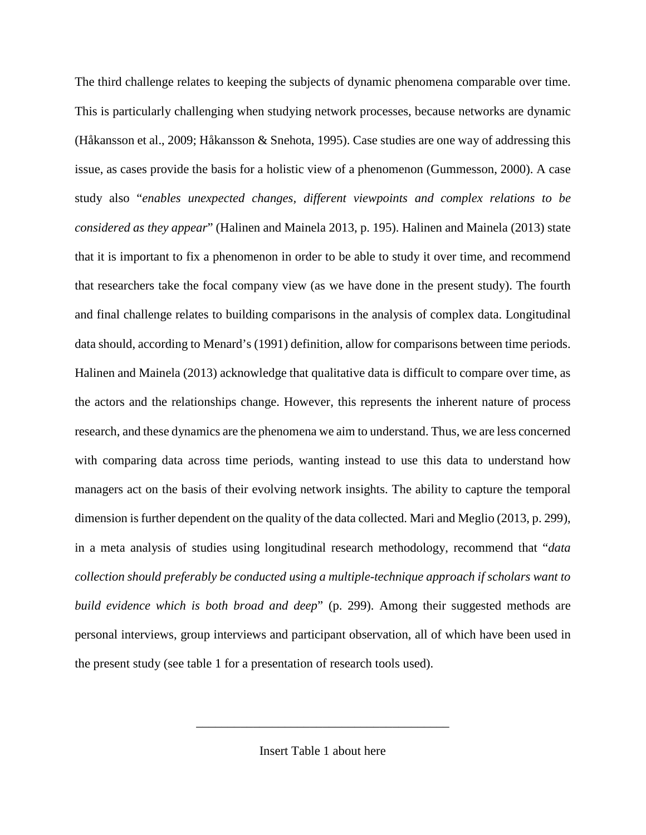The third challenge relates to keeping the subjects of dynamic phenomena comparable over time. This is particularly challenging when studying network processes, because networks are dynamic (Håkansson et al., 2009; Håkansson & Snehota, 1995). Case studies are one way of addressing this issue, as cases provide the basis for a holistic view of a phenomenon (Gummesson, 2000). A case study also "*enables unexpected changes, different viewpoints and complex relations to be considered as they appear*" (Halinen and Mainela 2013, p. 195). Halinen and Mainela (2013) state that it is important to fix a phenomenon in order to be able to study it over time, and recommend that researchers take the focal company view (as we have done in the present study). The fourth and final challenge relates to building comparisons in the analysis of complex data. Longitudinal data should, according to Menard's (1991) definition, allow for comparisons between time periods. Halinen and Mainela (2013) acknowledge that qualitative data is difficult to compare over time, as the actors and the relationships change. However, this represents the inherent nature of process research, and these dynamics are the phenomena we aim to understand. Thus, we are less concerned with comparing data across time periods, wanting instead to use this data to understand how managers act on the basis of their evolving network insights. The ability to capture the temporal dimension is further dependent on the quality of the data collected. Mari and Meglio (2013, p. 299), in a meta analysis of studies using longitudinal research methodology, recommend that "*data collection should preferably be conducted using a multiple-technique approach if scholars want to build evidence which is both broad and deep*" (p. 299). Among their suggested methods are personal interviews, group interviews and participant observation, all of which have been used in the present study (see table 1 for a presentation of research tools used).

Insert Table 1 about here

\_\_\_\_\_\_\_\_\_\_\_\_\_\_\_\_\_\_\_\_\_\_\_\_\_\_\_\_\_\_\_\_\_\_\_\_\_\_\_\_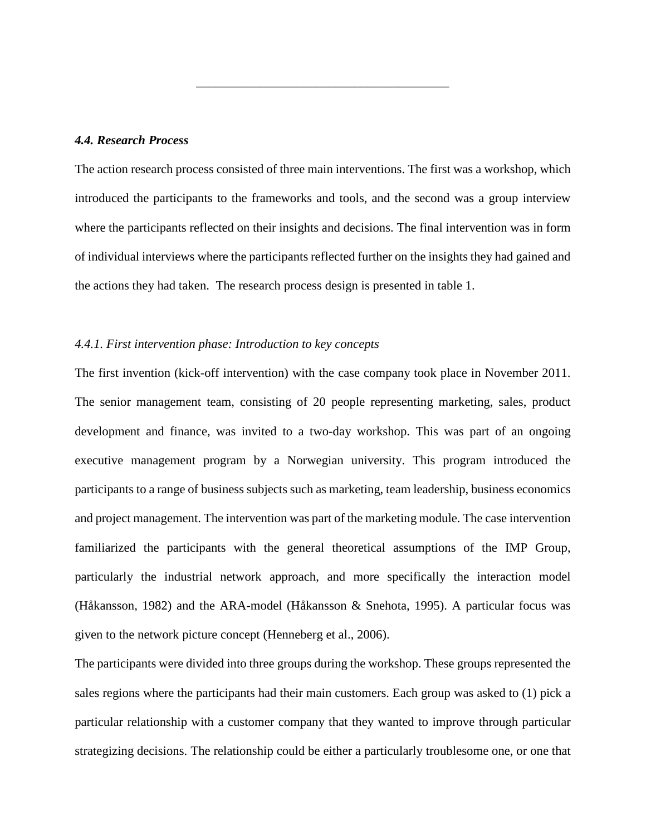### *4.4. Research Process*

The action research process consisted of three main interventions. The first was a workshop, which introduced the participants to the frameworks and tools, and the second was a group interview where the participants reflected on their insights and decisions. The final intervention was in form of individual interviews where the participants reflected further on the insights they had gained and the actions they had taken. The research process design is presented in table 1.

\_\_\_\_\_\_\_\_\_\_\_\_\_\_\_\_\_\_\_\_\_\_\_\_\_\_\_\_\_\_\_\_\_\_\_\_\_\_\_\_

## *4.4.1. First intervention phase: Introduction to key concepts*

The first invention (kick-off intervention) with the case company took place in November 2011. The senior management team, consisting of 20 people representing marketing, sales, product development and finance, was invited to a two-day workshop. This was part of an ongoing executive management program by a Norwegian university. This program introduced the participants to a range of business subjects such as marketing, team leadership, business economics and project management. The intervention was part of the marketing module. The case intervention familiarized the participants with the general theoretical assumptions of the IMP Group, particularly the industrial network approach, and more specifically the interaction model (Håkansson, 1982) and the ARA-model (Håkansson & Snehota, 1995). A particular focus was given to the network picture concept (Henneberg et al., 2006).

The participants were divided into three groups during the workshop. These groups represented the sales regions where the participants had their main customers. Each group was asked to (1) pick a particular relationship with a customer company that they wanted to improve through particular strategizing decisions. The relationship could be either a particularly troublesome one, or one that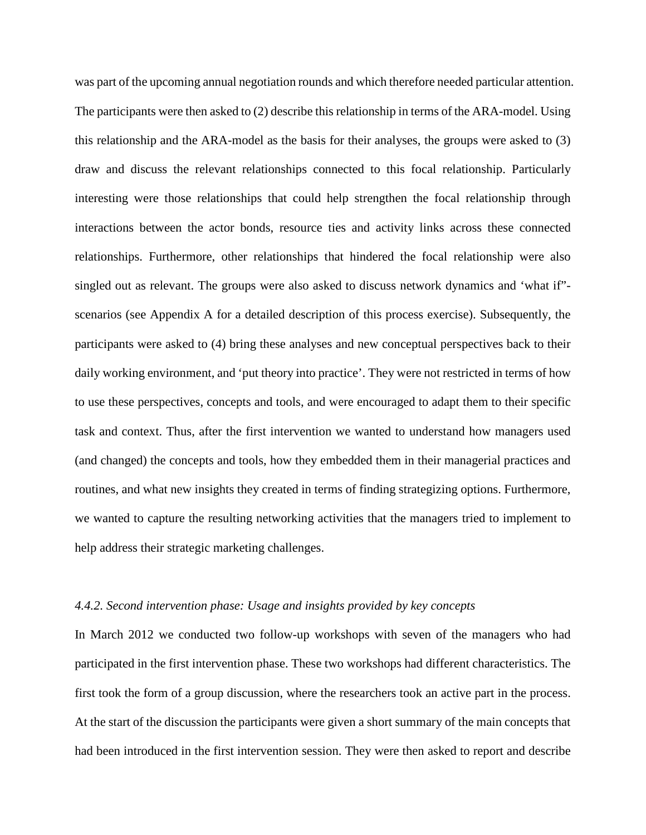was part of the upcoming annual negotiation rounds and which therefore needed particular attention. The participants were then asked to (2) describe this relationship in terms of the ARA-model. Using this relationship and the ARA-model as the basis for their analyses, the groups were asked to (3) draw and discuss the relevant relationships connected to this focal relationship. Particularly interesting were those relationships that could help strengthen the focal relationship through interactions between the actor bonds, resource ties and activity links across these connected relationships. Furthermore, other relationships that hindered the focal relationship were also singled out as relevant. The groups were also asked to discuss network dynamics and 'what if" scenarios (see Appendix A for a detailed description of this process exercise). Subsequently, the participants were asked to (4) bring these analyses and new conceptual perspectives back to their daily working environment, and 'put theory into practice'. They were not restricted in terms of how to use these perspectives, concepts and tools, and were encouraged to adapt them to their specific task and context. Thus, after the first intervention we wanted to understand how managers used (and changed) the concepts and tools, how they embedded them in their managerial practices and routines, and what new insights they created in terms of finding strategizing options. Furthermore, we wanted to capture the resulting networking activities that the managers tried to implement to help address their strategic marketing challenges.

#### *4.4.2. Second intervention phase: Usage and insights provided by key concepts*

In March 2012 we conducted two follow-up workshops with seven of the managers who had participated in the first intervention phase. These two workshops had different characteristics. The first took the form of a group discussion, where the researchers took an active part in the process. At the start of the discussion the participants were given a short summary of the main concepts that had been introduced in the first intervention session. They were then asked to report and describe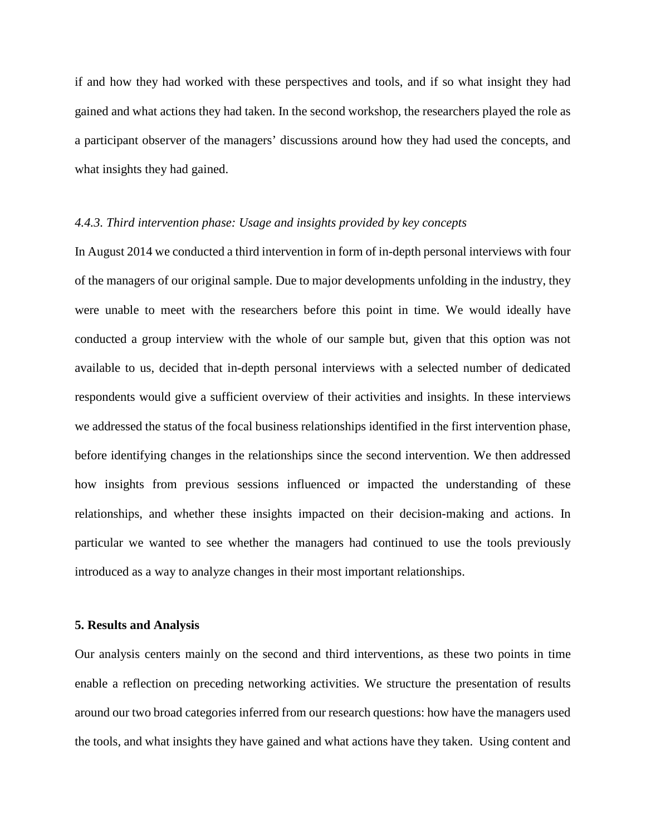if and how they had worked with these perspectives and tools, and if so what insight they had gained and what actions they had taken. In the second workshop, the researchers played the role as a participant observer of the managers' discussions around how they had used the concepts, and what insights they had gained.

#### *4.4.3. Third intervention phase: Usage and insights provided by key concepts*

In August 2014 we conducted a third intervention in form of in-depth personal interviews with four of the managers of our original sample. Due to major developments unfolding in the industry, they were unable to meet with the researchers before this point in time. We would ideally have conducted a group interview with the whole of our sample but, given that this option was not available to us, decided that in-depth personal interviews with a selected number of dedicated respondents would give a sufficient overview of their activities and insights. In these interviews we addressed the status of the focal business relationships identified in the first intervention phase, before identifying changes in the relationships since the second intervention. We then addressed how insights from previous sessions influenced or impacted the understanding of these relationships, and whether these insights impacted on their decision-making and actions. In particular we wanted to see whether the managers had continued to use the tools previously introduced as a way to analyze changes in their most important relationships.

#### **5. Results and Analysis**

Our analysis centers mainly on the second and third interventions, as these two points in time enable a reflection on preceding networking activities. We structure the presentation of results around our two broad categories inferred from our research questions: how have the managers used the tools, and what insights they have gained and what actions have they taken. Using content and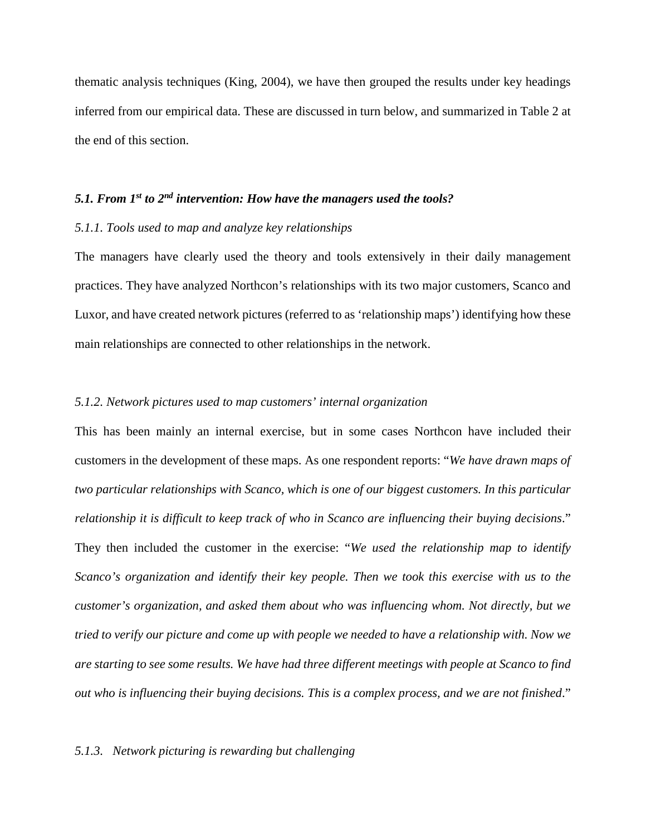thematic analysis techniques (King, 2004), we have then grouped the results under key headings inferred from our empirical data. These are discussed in turn below, and summarized in Table 2 at the end of this section.

## *5.1. From 1st to 2nd intervention: How have the managers used the tools?*

#### *5.1.1. Tools used to map and analyze key relationships*

The managers have clearly used the theory and tools extensively in their daily management practices. They have analyzed Northcon's relationships with its two major customers, Scanco and Luxor, and have created network pictures (referred to as 'relationship maps') identifying how these main relationships are connected to other relationships in the network.

#### *5.1.2. Network pictures used to map customers' internal organization*

This has been mainly an internal exercise, but in some cases Northcon have included their customers in the development of these maps. As one respondent reports: "*We have drawn maps of two particular relationships with Scanco, which is one of our biggest customers. In this particular relationship it is difficult to keep track of who in Scanco are influencing their buying decisions*." They then included the customer in the exercise: "*We used the relationship map to identify Scanco's organization and identify their key people. Then we took this exercise with us to the customer's organization, and asked them about who was influencing whom. Not directly, but we tried to verify our picture and come up with people we needed to have a relationship with. Now we are starting to see some results. We have had three different meetings with people at Scanco to find out who is influencing their buying decisions. This is a complex process, and we are not finished*."

#### *5.1.3. Network picturing is rewarding but challenging*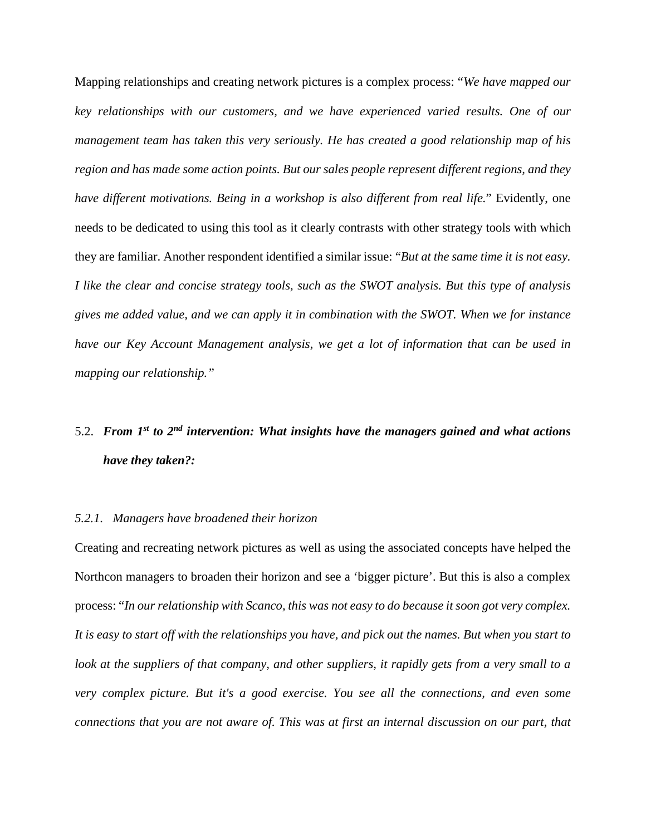Mapping relationships and creating network pictures is a complex process: "*We have mapped our key relationships with our customers, and we have experienced varied results. One of our management team has taken this very seriously. He has created a good relationship map of his region and has made some action points. But our sales people represent different regions, and they have different motivations. Being in a workshop is also different from real life.*" Evidently, one needs to be dedicated to using this tool as it clearly contrasts with other strategy tools with which they are familiar. Another respondent identified a similar issue: "*But at the same time it is not easy. I like the clear and concise strategy tools, such as the SWOT analysis. But this type of analysis gives me added value, and we can apply it in combination with the SWOT. When we for instance have our Key Account Management analysis, we get a lot of information that can be used in mapping our relationship."*

# 5.2. *From 1st to 2nd intervention: What insights have the managers gained and what actions have they taken?:*

#### *5.2.1. Managers have broadened their horizon*

Creating and recreating network pictures as well as using the associated concepts have helped the Northcon managers to broaden their horizon and see a 'bigger picture'. But this is also a complex process: "*In our relationship with Scanco, this was not easy to do because it soon got very complex. It is easy to start off with the relationships you have, and pick out the names. But when you start to*  look at the suppliers of that company, and other suppliers, it rapidly gets from a very small to a *very complex picture. But it's a good exercise. You see all the connections, and even some connections that you are not aware of. This was at first an internal discussion on our part, that*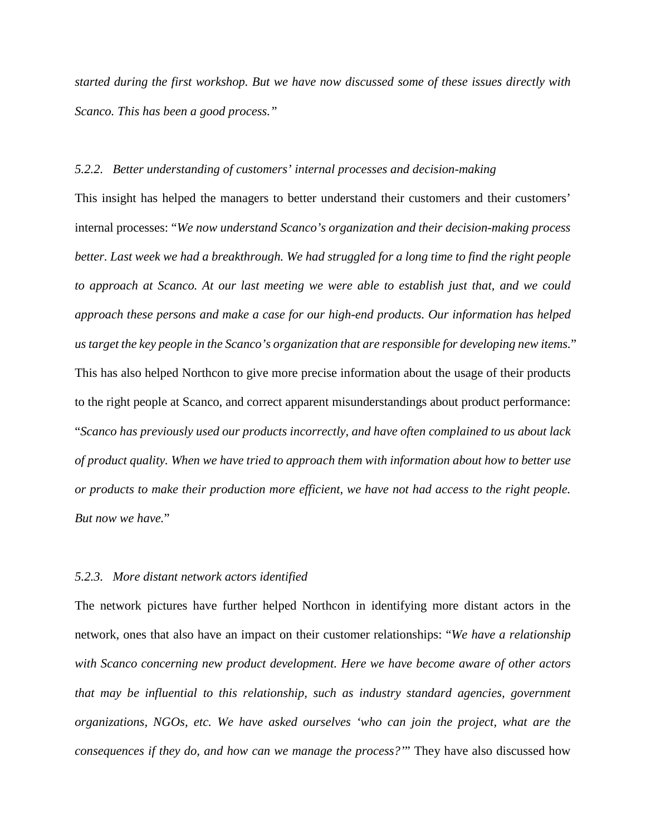*started during the first workshop. But we have now discussed some of these issues directly with Scanco. This has been a good process."*

#### *5.2.2. Better understanding of customers' internal processes and decision-making*

This insight has helped the managers to better understand their customers and their customers' internal processes: "*We now understand Scanco's organization and their decision-making process better. Last week we had a breakthrough. We had struggled for a long time to find the right people to approach at Scanco. At our last meeting we were able to establish just that, and we could approach these persons and make a case for our high-end products. Our information has helped us target the key people in the Scanco's organization that are responsible for developing new items.*" This has also helped Northcon to give more precise information about the usage of their products to the right people at Scanco, and correct apparent misunderstandings about product performance: "*Scanco has previously used our products incorrectly, and have often complained to us about lack of product quality. When we have tried to approach them with information about how to better use or products to make their production more efficient, we have not had access to the right people. But now we have.*"

#### *5.2.3. More distant network actors identified*

The network pictures have further helped Northcon in identifying more distant actors in the network, ones that also have an impact on their customer relationships: "*We have a relationship with Scanco concerning new product development. Here we have become aware of other actors that may be influential to this relationship, such as industry standard agencies, government organizations, NGOs, etc. We have asked ourselves 'who can join the project, what are the consequences if they do, and how can we manage the process?'*" They have also discussed how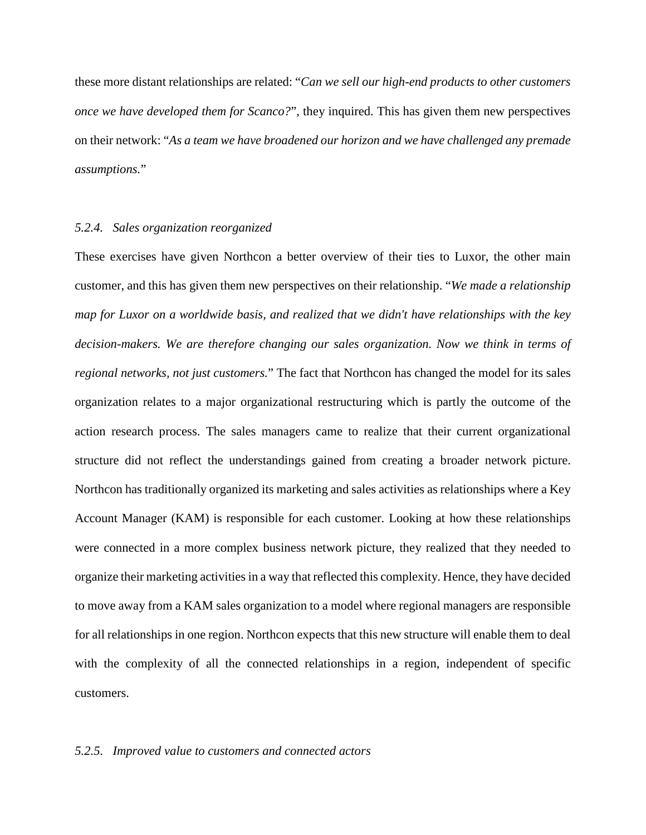these more distant relationships are related: "*Can we sell our high-end products to other customers once we have developed them for Scanco?*", they inquired. This has given them new perspectives on their network: "*As a team we have broadened our horizon and we have challenged any premade assumptions.*"

#### *5.2.4. Sales organization reorganized*

These exercises have given Northcon a better overview of their ties to Luxor, the other main customer, and this has given them new perspectives on their relationship. "*We made a relationship map for Luxor on a worldwide basis, and realized that we didn't have relationships with the key decision-makers. We are therefore changing our sales organization. Now we think in terms of regional networks, not just customers.*" The fact that Northcon has changed the model for its sales organization relates to a major organizational restructuring which is partly the outcome of the action research process. The sales managers came to realize that their current organizational structure did not reflect the understandings gained from creating a broader network picture. Northcon has traditionally organized its marketing and sales activities as relationships where a Key Account Manager (KAM) is responsible for each customer. Looking at how these relationships were connected in a more complex business network picture, they realized that they needed to organize their marketing activities in a way that reflected this complexity. Hence, they have decided to move away from a KAM sales organization to a model where regional managers are responsible for all relationships in one region. Northcon expects that this new structure will enable them to deal with the complexity of all the connected relationships in a region, independent of specific customers.

#### *5.2.5. Improved value to customers and connected actors*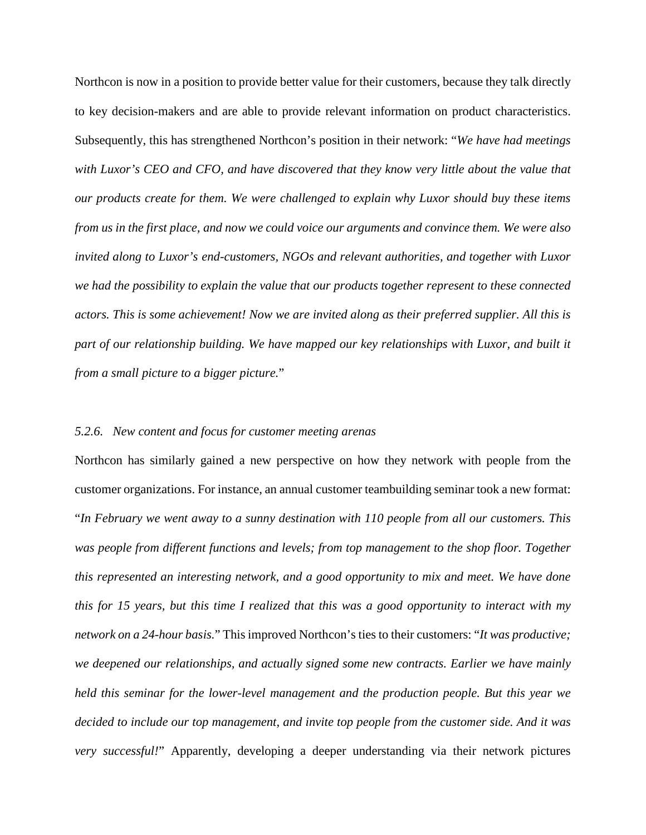Northcon is now in a position to provide better value for their customers, because they talk directly to key decision-makers and are able to provide relevant information on product characteristics. Subsequently, this has strengthened Northcon's position in their network: "*We have had meetings with Luxor's CEO and CFO, and have discovered that they know very little about the value that our products create for them. We were challenged to explain why Luxor should buy these items from us in the first place, and now we could voice our arguments and convince them. We were also invited along to Luxor's end-customers, NGOs and relevant authorities, and together with Luxor we had the possibility to explain the value that our products together represent to these connected actors. This is some achievement! Now we are invited along as their preferred supplier. All this is part of our relationship building. We have mapped our key relationships with Luxor, and built it from a small picture to a bigger picture.*"

#### *5.2.6. New content and focus for customer meeting arenas*

Northcon has similarly gained a new perspective on how they network with people from the customer organizations. For instance, an annual customer teambuilding seminar took a new format: "*In February we went away to a sunny destination with 110 people from all our customers. This was people from different functions and levels; from top management to the shop floor. Together this represented an interesting network, and a good opportunity to mix and meet. We have done this for 15 years, but this time I realized that this was a good opportunity to interact with my network on a 24-hour basis.*" This improved Northcon's ties to their customers: "*It was productive; we deepened our relationships, and actually signed some new contracts. Earlier we have mainly held this seminar for the lower-level management and the production people. But this year we decided to include our top management, and invite top people from the customer side. And it was very successful!*" Apparently, developing a deeper understanding via their network pictures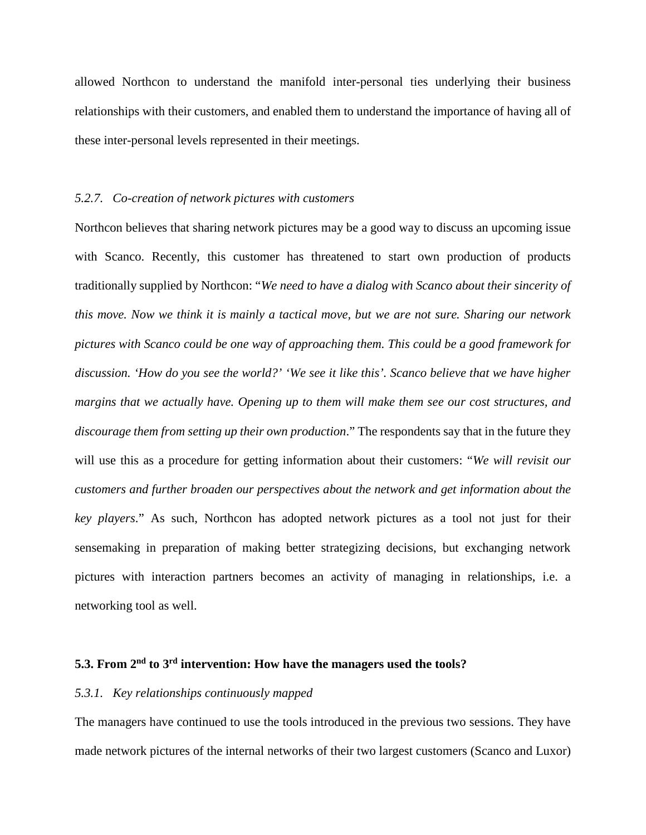allowed Northcon to understand the manifold inter-personal ties underlying their business relationships with their customers, and enabled them to understand the importance of having all of these inter-personal levels represented in their meetings.

#### *5.2.7. Co-creation of network pictures with customers*

Northcon believes that sharing network pictures may be a good way to discuss an upcoming issue with Scanco. Recently, this customer has threatened to start own production of products traditionally supplied by Northcon: "*We need to have a dialog with Scanco about their sincerity of this move. Now we think it is mainly a tactical move, but we are not sure. Sharing our network pictures with Scanco could be one way of approaching them. This could be a good framework for discussion. 'How do you see the world?' 'We see it like this'. Scanco believe that we have higher margins that we actually have. Opening up to them will make them see our cost structures, and discourage them from setting up their own production*." The respondents say that in the future they will use this as a procedure for getting information about their customers: "*We will revisit our customers and further broaden our perspectives about the network and get information about the key players*." As such, Northcon has adopted network pictures as a tool not just for their sensemaking in preparation of making better strategizing decisions, but exchanging network pictures with interaction partners becomes an activity of managing in relationships, i.e. a networking tool as well.

## **5.3. From 2nd to 3rd intervention: How have the managers used the tools?**

#### *5.3.1. Key relationships continuously mapped*

The managers have continued to use the tools introduced in the previous two sessions. They have made network pictures of the internal networks of their two largest customers (Scanco and Luxor)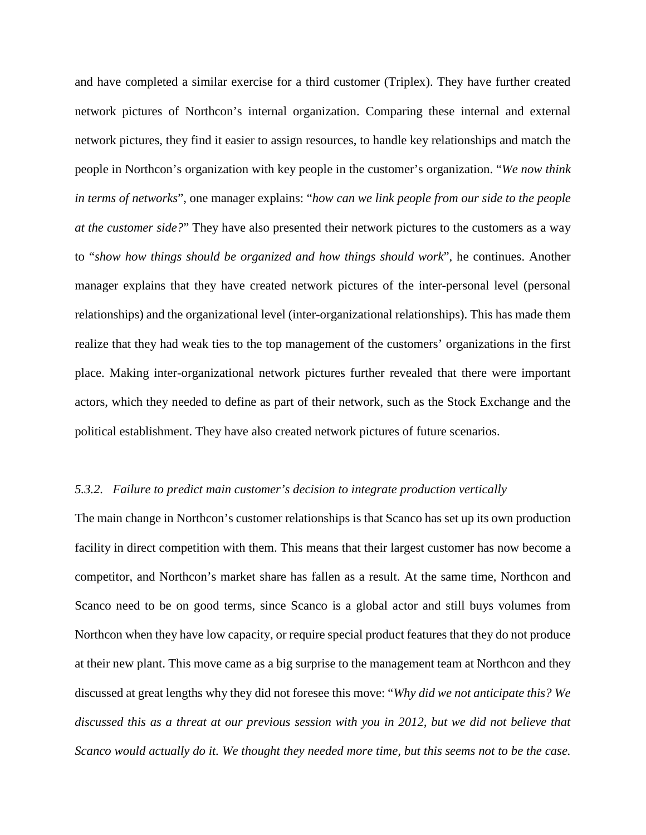and have completed a similar exercise for a third customer (Triplex). They have further created network pictures of Northcon's internal organization. Comparing these internal and external network pictures, they find it easier to assign resources, to handle key relationships and match the people in Northcon's organization with key people in the customer's organization. "*We now think in terms of networks*", one manager explains: "*how can we link people from our side to the people at the customer side?*" They have also presented their network pictures to the customers as a way to "*show how things should be organized and how things should work*", he continues. Another manager explains that they have created network pictures of the inter-personal level (personal relationships) and the organizational level (inter-organizational relationships). This has made them realize that they had weak ties to the top management of the customers' organizations in the first place. Making inter-organizational network pictures further revealed that there were important actors, which they needed to define as part of their network, such as the Stock Exchange and the political establishment. They have also created network pictures of future scenarios.

#### *5.3.2. Failure to predict main customer's decision to integrate production vertically*

The main change in Northcon's customer relationships is that Scanco has set up its own production facility in direct competition with them. This means that their largest customer has now become a competitor, and Northcon's market share has fallen as a result. At the same time, Northcon and Scanco need to be on good terms, since Scanco is a global actor and still buys volumes from Northcon when they have low capacity, or require special product features that they do not produce at their new plant. This move came as a big surprise to the management team at Northcon and they discussed at great lengths why they did not foresee this move: "*Why did we not anticipate this? We discussed this as a threat at our previous session with you in 2012, but we did not believe that Scanco would actually do it. We thought they needed more time, but this seems not to be the case.*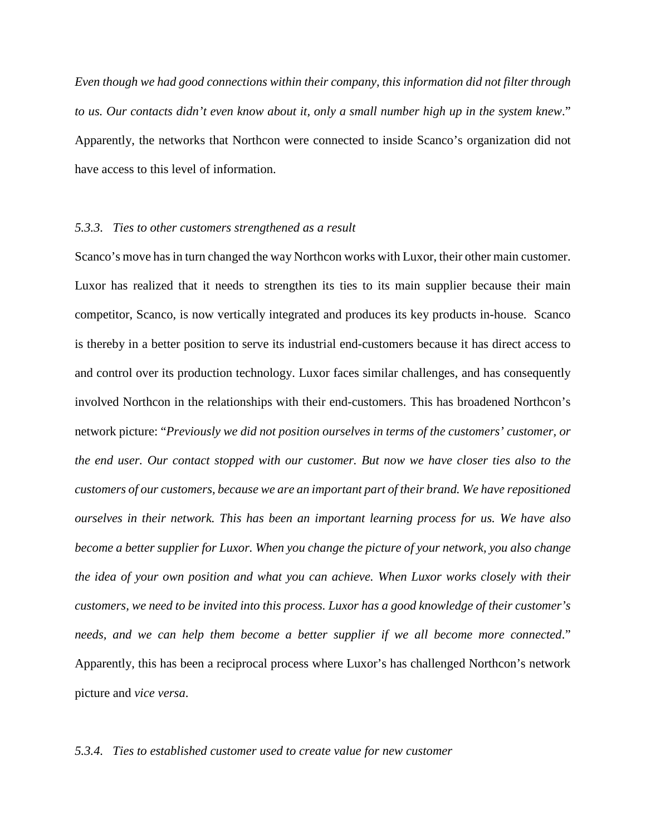*Even though we had good connections within their company, this information did not filter through to us. Our contacts didn't even know about it, only a small number high up in the system knew*." Apparently, the networks that Northcon were connected to inside Scanco's organization did not have access to this level of information.

#### *5.3.3. Ties to other customers strengthened as a result*

Scanco's move has in turn changed the way Northcon works with Luxor, their other main customer. Luxor has realized that it needs to strengthen its ties to its main supplier because their main competitor, Scanco, is now vertically integrated and produces its key products in-house. Scanco is thereby in a better position to serve its industrial end-customers because it has direct access to and control over its production technology. Luxor faces similar challenges, and has consequently involved Northcon in the relationships with their end-customers. This has broadened Northcon's network picture: "*Previously we did not position ourselves in terms of the customers' customer, or the end user. Our contact stopped with our customer. But now we have closer ties also to the customers of our customers, because we are an important part of their brand. We have repositioned ourselves in their network. This has been an important learning process for us. We have also become a better supplier for Luxor. When you change the picture of your network, you also change the idea of your own position and what you can achieve. When Luxor works closely with their customers, we need to be invited into this process. Luxor has a good knowledge of their customer's needs, and we can help them become a better supplier if we all become more connected*." Apparently, this has been a reciprocal process where Luxor's has challenged Northcon's network picture and *vice versa*.

#### *5.3.4. Ties to established customer used to create value for new customer*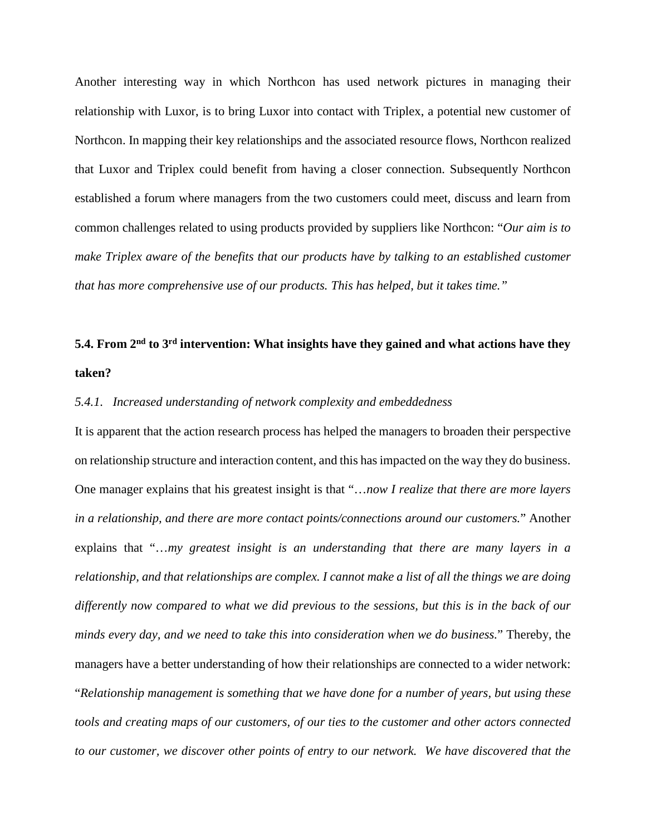Another interesting way in which Northcon has used network pictures in managing their relationship with Luxor, is to bring Luxor into contact with Triplex, a potential new customer of Northcon. In mapping their key relationships and the associated resource flows, Northcon realized that Luxor and Triplex could benefit from having a closer connection. Subsequently Northcon established a forum where managers from the two customers could meet, discuss and learn from common challenges related to using products provided by suppliers like Northcon: "*Our aim is to make Triplex aware of the benefits that our products have by talking to an established customer that has more comprehensive use of our products. This has helped, but it takes time."*

# **5.4. From 2nd to 3rd intervention: What insights have they gained and what actions have they taken?**

#### *5.4.1. Increased understanding of network complexity and embeddedness*

It is apparent that the action research process has helped the managers to broaden their perspective on relationship structure and interaction content, and this has impacted on the way they do business. One manager explains that his greatest insight is that "…*now I realize that there are more layers in a relationship, and there are more contact points/connections around our customers.*" Another explains that "…*my greatest insight is an understanding that there are many layers in a relationship, and that relationships are complex. I cannot make a list of all the things we are doing differently now compared to what we did previous to the sessions, but this is in the back of our minds every day, and we need to take this into consideration when we do business.*" Thereby, the managers have a better understanding of how their relationships are connected to a wider network: "*Relationship management is something that we have done for a number of years, but using these tools and creating maps of our customers, of our ties to the customer and other actors connected to our customer, we discover other points of entry to our network. We have discovered that the*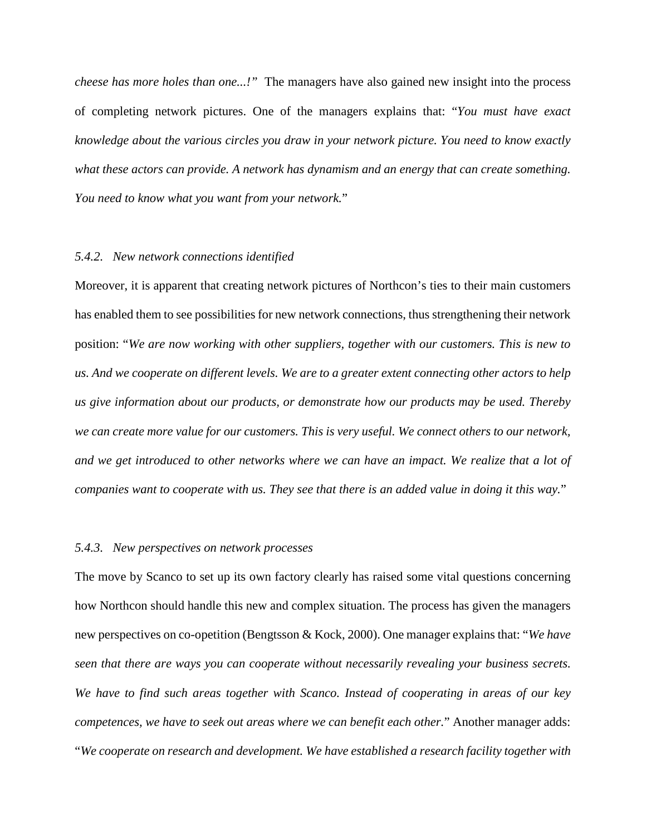*cheese has more holes than one...!"* The managers have also gained new insight into the process of completing network pictures. One of the managers explains that: "*You must have exact knowledge about the various circles you draw in your network picture. You need to know exactly what these actors can provide. A network has dynamism and an energy that can create something. You need to know what you want from your network.*"

#### *5.4.2. New network connections identified*

Moreover, it is apparent that creating network pictures of Northcon's ties to their main customers has enabled them to see possibilities for new network connections, thus strengthening their network position: "*We are now working with other suppliers, together with our customers. This is new to us. And we cooperate on different levels. We are to a greater extent connecting other actors to help us give information about our products, or demonstrate how our products may be used. Thereby we can create more value for our customers. This is very useful. We connect others to our network,*  and we get introduced to other networks where we can have an impact. We realize that a lot of *companies want to cooperate with us. They see that there is an added value in doing it this way.*"

#### *5.4.3. New perspectives on network processes*

The move by Scanco to set up its own factory clearly has raised some vital questions concerning how Northcon should handle this new and complex situation. The process has given the managers new perspectives on co-opetition (Bengtsson & Kock, 2000). One manager explains that: "*We have seen that there are ways you can cooperate without necessarily revealing your business secrets. We have to find such areas together with Scanco. Instead of cooperating in areas of our key competences, we have to seek out areas where we can benefit each other.*" Another manager adds: "*We cooperate on research and development. We have established a research facility together with*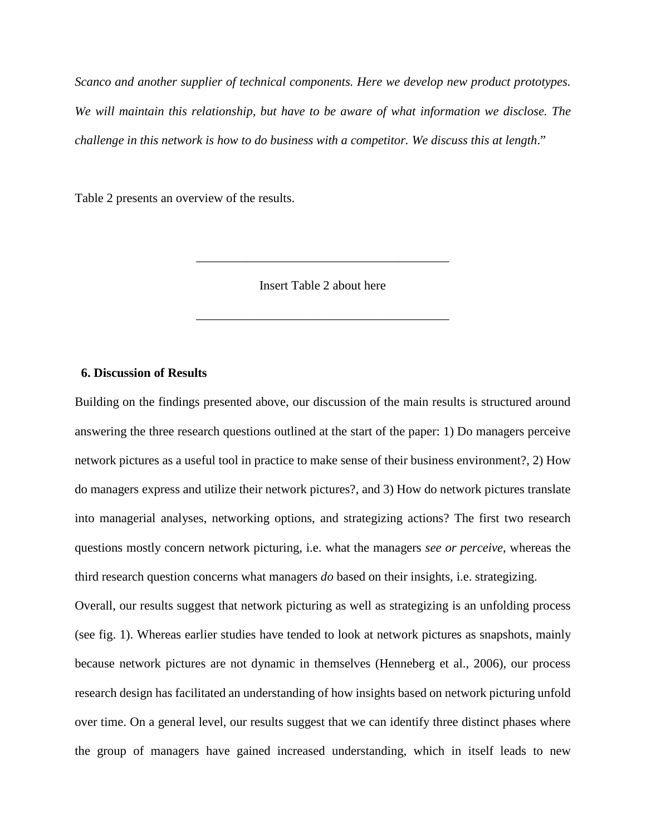*Scanco and another supplier of technical components. Here we develop new product prototypes. We will maintain this relationship, but have to be aware of what information we disclose. The challenge in this network is how to do business with a competitor. We discuss this at length*."

Table 2 presents an overview of the results.

Insert Table 2 about here

\_\_\_\_\_\_\_\_\_\_\_\_\_\_\_\_\_\_\_\_\_\_\_\_\_\_\_\_\_\_\_\_\_\_\_\_\_\_\_\_

\_\_\_\_\_\_\_\_\_\_\_\_\_\_\_\_\_\_\_\_\_\_\_\_\_\_\_\_\_\_\_\_\_\_\_\_\_\_\_\_

#### **6. Discussion of Results**

Building on the findings presented above, our discussion of the main results is structured around answering the three research questions outlined at the start of the paper: 1) Do managers perceive network pictures as a useful tool in practice to make sense of their business environment?, 2) How do managers express and utilize their network pictures?, and 3) How do network pictures translate into managerial analyses, networking options, and strategizing actions? The first two research questions mostly concern network picturing, i.e. what the managers *see or perceive*, whereas the third research question concerns what managers *do* based on their insights, i.e. strategizing.

Overall, our results suggest that network picturing as well as strategizing is an unfolding process (see fig. 1). Whereas earlier studies have tended to look at network pictures as snapshots, mainly because network pictures are not dynamic in themselves (Henneberg et al., 2006), our process research design has facilitated an understanding of how insights based on network picturing unfold over time. On a general level, our results suggest that we can identify three distinct phases where the group of managers have gained increased understanding, which in itself leads to new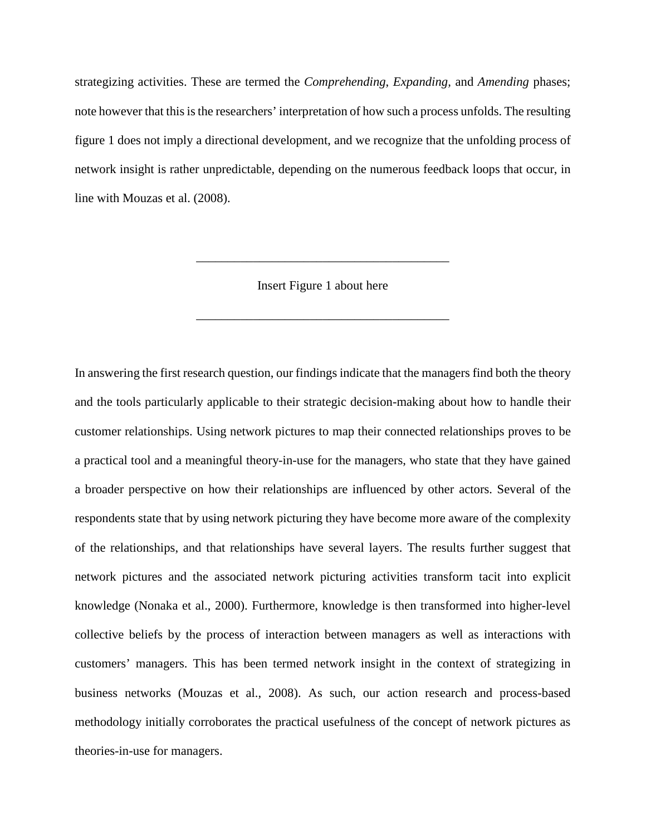strategizing activities. These are termed the *Comprehending*, *Expanding,* and *Amending* phases; note however that this is the researchers' interpretation of how such a process unfolds. The resulting figure 1 does not imply a directional development, and we recognize that the unfolding process of network insight is rather unpredictable, depending on the numerous feedback loops that occur, in line with Mouzas et al. (2008).

Insert Figure 1 about here

\_\_\_\_\_\_\_\_\_\_\_\_\_\_\_\_\_\_\_\_\_\_\_\_\_\_\_\_\_\_\_\_\_\_\_\_\_\_\_\_

\_\_\_\_\_\_\_\_\_\_\_\_\_\_\_\_\_\_\_\_\_\_\_\_\_\_\_\_\_\_\_\_\_\_\_\_\_\_\_\_

In answering the first research question, our findings indicate that the managers find both the theory and the tools particularly applicable to their strategic decision-making about how to handle their customer relationships. Using network pictures to map their connected relationships proves to be a practical tool and a meaningful theory-in-use for the managers, who state that they have gained a broader perspective on how their relationships are influenced by other actors. Several of the respondents state that by using network picturing they have become more aware of the complexity of the relationships, and that relationships have several layers. The results further suggest that network pictures and the associated network picturing activities transform tacit into explicit knowledge (Nonaka et al., 2000). Furthermore, knowledge is then transformed into higher-level collective beliefs by the process of interaction between managers as well as interactions with customers' managers. This has been termed network insight in the context of strategizing in business networks (Mouzas et al., 2008). As such, our action research and process-based methodology initially corroborates the practical usefulness of the concept of network pictures as theories-in-use for managers.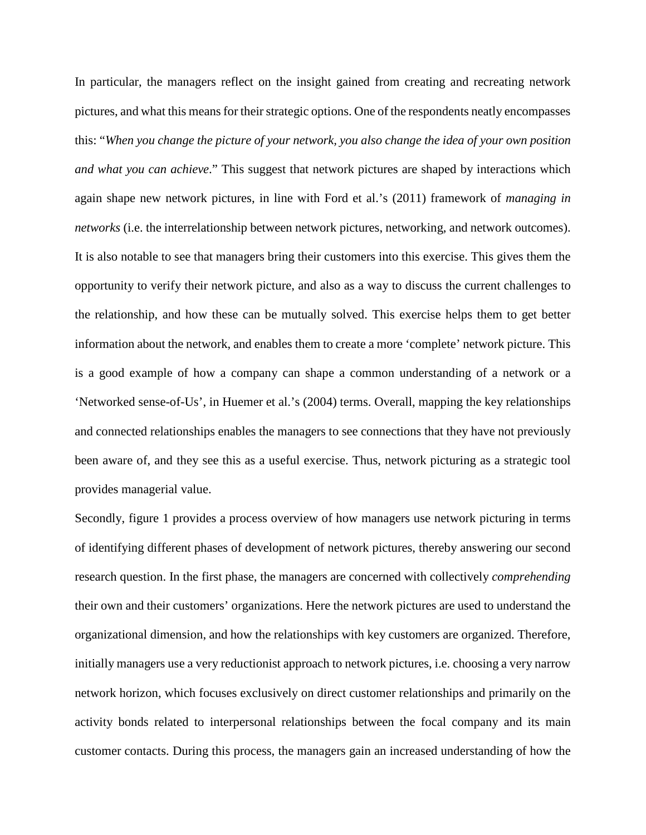In particular, the managers reflect on the insight gained from creating and recreating network pictures, and what this means for their strategic options. One of the respondents neatly encompasses this: "*When you change the picture of your network, you also change the idea of your own position and what you can achieve*." This suggest that network pictures are shaped by interactions which again shape new network pictures, in line with Ford et al.'s (2011) framework of *managing in networks* (i.e. the interrelationship between network pictures, networking, and network outcomes). It is also notable to see that managers bring their customers into this exercise. This gives them the opportunity to verify their network picture, and also as a way to discuss the current challenges to the relationship, and how these can be mutually solved. This exercise helps them to get better information about the network, and enables them to create a more 'complete' network picture. This is a good example of how a company can shape a common understanding of a network or a 'Networked sense-of-Us', in Huemer et al.'s (2004) terms. Overall, mapping the key relationships and connected relationships enables the managers to see connections that they have not previously been aware of, and they see this as a useful exercise. Thus, network picturing as a strategic tool provides managerial value.

Secondly, figure 1 provides a process overview of how managers use network picturing in terms of identifying different phases of development of network pictures, thereby answering our second research question. In the first phase, the managers are concerned with collectively *comprehending* their own and their customers' organizations. Here the network pictures are used to understand the organizational dimension, and how the relationships with key customers are organized. Therefore, initially managers use a very reductionist approach to network pictures, i.e. choosing a very narrow network horizon, which focuses exclusively on direct customer relationships and primarily on the activity bonds related to interpersonal relationships between the focal company and its main customer contacts. During this process, the managers gain an increased understanding of how the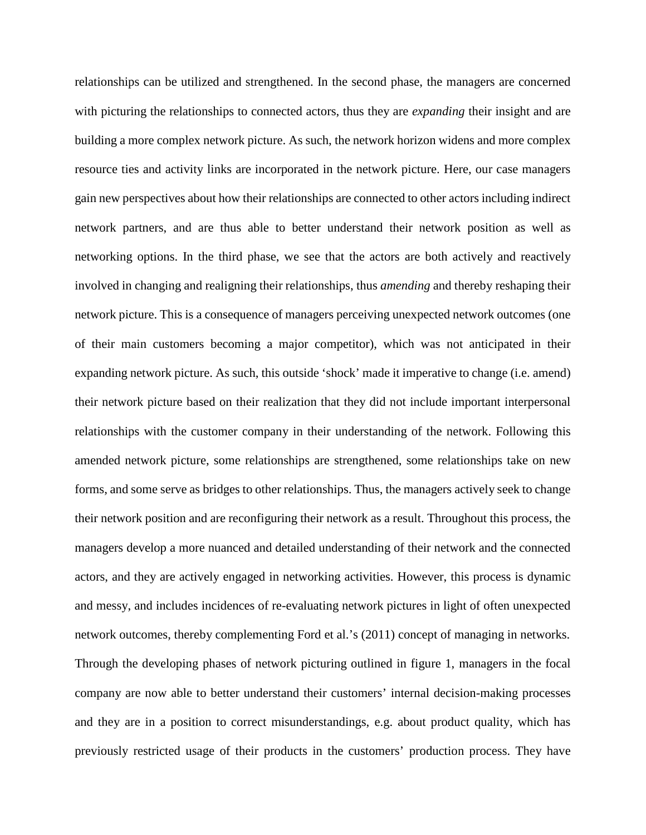relationships can be utilized and strengthened. In the second phase, the managers are concerned with picturing the relationships to connected actors, thus they are *expanding* their insight and are building a more complex network picture. As such, the network horizon widens and more complex resource ties and activity links are incorporated in the network picture. Here, our case managers gain new perspectives about how their relationships are connected to other actors including indirect network partners, and are thus able to better understand their network position as well as networking options. In the third phase, we see that the actors are both actively and reactively involved in changing and realigning their relationships, thus *amending* and thereby reshaping their network picture. This is a consequence of managers perceiving unexpected network outcomes (one of their main customers becoming a major competitor), which was not anticipated in their expanding network picture. As such, this outside 'shock' made it imperative to change (i.e. amend) their network picture based on their realization that they did not include important interpersonal relationships with the customer company in their understanding of the network. Following this amended network picture, some relationships are strengthened, some relationships take on new forms, and some serve as bridges to other relationships. Thus, the managers actively seek to change their network position and are reconfiguring their network as a result. Throughout this process, the managers develop a more nuanced and detailed understanding of their network and the connected actors, and they are actively engaged in networking activities. However, this process is dynamic and messy, and includes incidences of re-evaluating network pictures in light of often unexpected network outcomes, thereby complementing Ford et al.'s (2011) concept of managing in networks. Through the developing phases of network picturing outlined in figure 1, managers in the focal company are now able to better understand their customers' internal decision-making processes and they are in a position to correct misunderstandings, e.g. about product quality, which has previously restricted usage of their products in the customers' production process. They have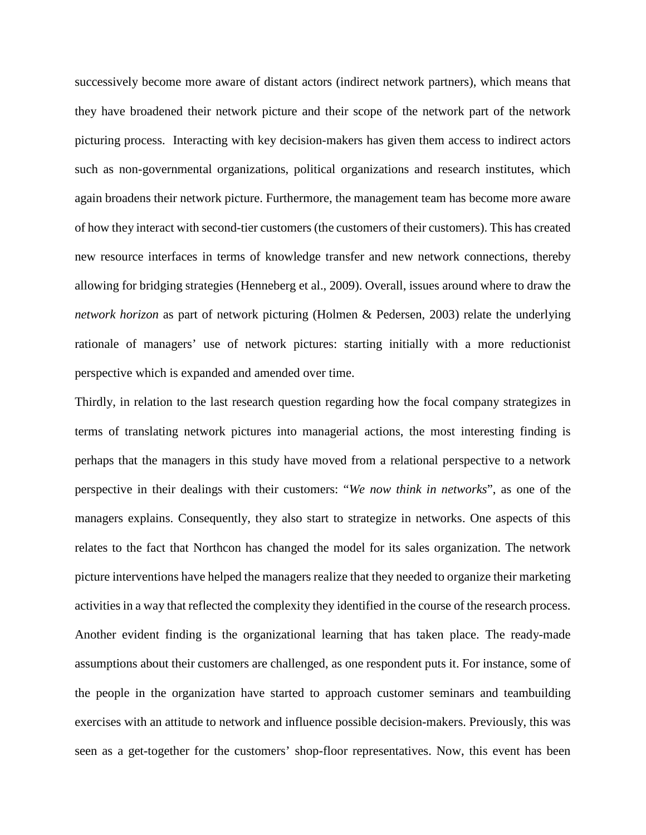successively become more aware of distant actors (indirect network partners), which means that they have broadened their network picture and their scope of the network part of the network picturing process. Interacting with key decision-makers has given them access to indirect actors such as non-governmental organizations, political organizations and research institutes, which again broadens their network picture. Furthermore, the management team has become more aware of how they interact with second-tier customers (the customers of their customers). This has created new resource interfaces in terms of knowledge transfer and new network connections, thereby allowing for bridging strategies (Henneberg et al., 2009). Overall, issues around where to draw the *network horizon* as part of network picturing (Holmen & Pedersen, 2003) relate the underlying rationale of managers' use of network pictures: starting initially with a more reductionist perspective which is expanded and amended over time.

Thirdly, in relation to the last research question regarding how the focal company strategizes in terms of translating network pictures into managerial actions, the most interesting finding is perhaps that the managers in this study have moved from a relational perspective to a network perspective in their dealings with their customers: "*We now think in networks*", as one of the managers explains. Consequently, they also start to strategize in networks. One aspects of this relates to the fact that Northcon has changed the model for its sales organization. The network picture interventions have helped the managers realize that they needed to organize their marketing activities in a way that reflected the complexity they identified in the course of the research process. Another evident finding is the organizational learning that has taken place. The ready-made assumptions about their customers are challenged, as one respondent puts it. For instance, some of the people in the organization have started to approach customer seminars and teambuilding exercises with an attitude to network and influence possible decision-makers. Previously, this was seen as a get-together for the customers' shop-floor representatives. Now, this event has been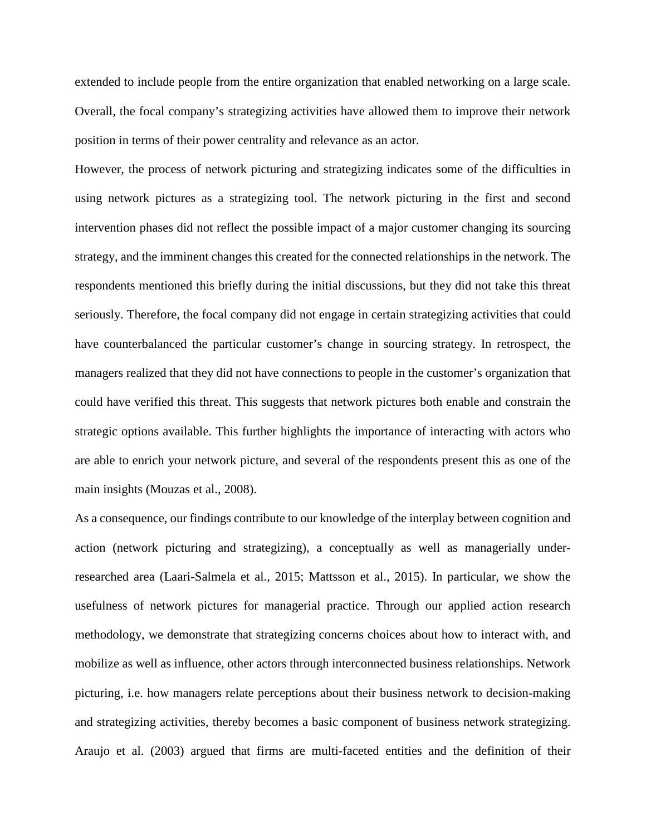extended to include people from the entire organization that enabled networking on a large scale. Overall, the focal company's strategizing activities have allowed them to improve their network position in terms of their power centrality and relevance as an actor.

However, the process of network picturing and strategizing indicates some of the difficulties in using network pictures as a strategizing tool. The network picturing in the first and second intervention phases did not reflect the possible impact of a major customer changing its sourcing strategy, and the imminent changes this created for the connected relationships in the network. The respondents mentioned this briefly during the initial discussions, but they did not take this threat seriously. Therefore, the focal company did not engage in certain strategizing activities that could have counterbalanced the particular customer's change in sourcing strategy. In retrospect, the managers realized that they did not have connections to people in the customer's organization that could have verified this threat. This suggests that network pictures both enable and constrain the strategic options available. This further highlights the importance of interacting with actors who are able to enrich your network picture, and several of the respondents present this as one of the main insights (Mouzas et al., 2008).

As a consequence, our findings contribute to our knowledge of the interplay between cognition and action (network picturing and strategizing), a conceptually as well as managerially underresearched area (Laari-Salmela et al., 2015; Mattsson et al., 2015). In particular, we show the usefulness of network pictures for managerial practice. Through our applied action research methodology, we demonstrate that strategizing concerns choices about how to interact with, and mobilize as well as influence, other actors through interconnected business relationships. Network picturing, i.e. how managers relate perceptions about their business network to decision-making and strategizing activities, thereby becomes a basic component of business network strategizing. Araujo et al. (2003) argued that firms are multi-faceted entities and the definition of their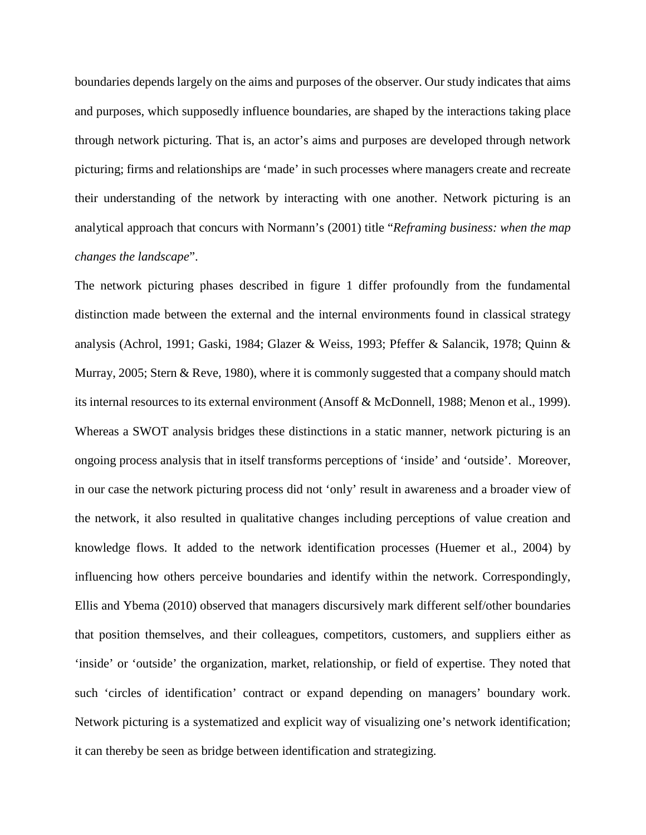boundaries depends largely on the aims and purposes of the observer. Our study indicates that aims and purposes, which supposedly influence boundaries, are shaped by the interactions taking place through network picturing. That is, an actor's aims and purposes are developed through network picturing; firms and relationships are 'made' in such processes where managers create and recreate their understanding of the network by interacting with one another. Network picturing is an analytical approach that concurs with Normann's (2001) title "*Reframing business: when the map changes the landscape*".

The network picturing phases described in figure 1 differ profoundly from the fundamental distinction made between the external and the internal environments found in classical strategy analysis (Achrol, 1991; Gaski, 1984; Glazer & Weiss, 1993; Pfeffer & Salancik, 1978; Quinn & Murray, 2005; Stern & Reve, 1980), where it is commonly suggested that a company should match its internal resources to its external environment (Ansoff & McDonnell, 1988; Menon et al., 1999). Whereas a SWOT analysis bridges these distinctions in a static manner, network picturing is an ongoing process analysis that in itself transforms perceptions of 'inside' and 'outside'. Moreover, in our case the network picturing process did not 'only' result in awareness and a broader view of the network, it also resulted in qualitative changes including perceptions of value creation and knowledge flows. It added to the network identification processes (Huemer et al., 2004) by influencing how others perceive boundaries and identify within the network. Correspondingly, Ellis and Ybema (2010) observed that managers discursively mark different self/other boundaries that position themselves, and their colleagues, competitors, customers, and suppliers either as 'inside' or 'outside' the organization, market, relationship, or field of expertise. They noted that such 'circles of identification' contract or expand depending on managers' boundary work. Network picturing is a systematized and explicit way of visualizing one's network identification; it can thereby be seen as bridge between identification and strategizing.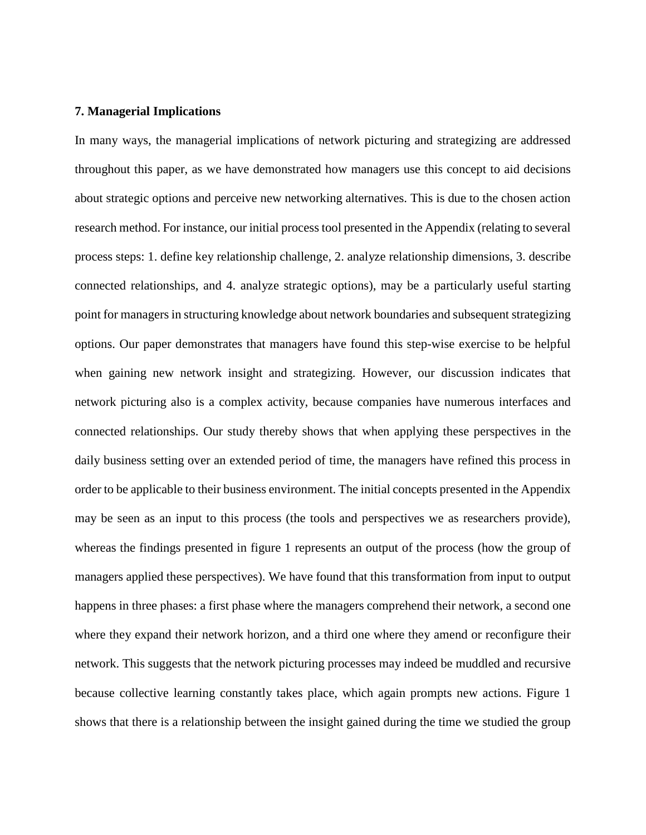#### **7. Managerial Implications**

In many ways, the managerial implications of network picturing and strategizing are addressed throughout this paper, as we have demonstrated how managers use this concept to aid decisions about strategic options and perceive new networking alternatives. This is due to the chosen action research method. For instance, our initial process tool presented in the Appendix (relating to several process steps: 1. define key relationship challenge, 2. analyze relationship dimensions, 3. describe connected relationships, and 4. analyze strategic options), may be a particularly useful starting point for managers in structuring knowledge about network boundaries and subsequent strategizing options. Our paper demonstrates that managers have found this step-wise exercise to be helpful when gaining new network insight and strategizing. However, our discussion indicates that network picturing also is a complex activity, because companies have numerous interfaces and connected relationships. Our study thereby shows that when applying these perspectives in the daily business setting over an extended period of time, the managers have refined this process in order to be applicable to their business environment. The initial concepts presented in the Appendix may be seen as an input to this process (the tools and perspectives we as researchers provide), whereas the findings presented in figure 1 represents an output of the process (how the group of managers applied these perspectives). We have found that this transformation from input to output happens in three phases: a first phase where the managers comprehend their network, a second one where they expand their network horizon, and a third one where they amend or reconfigure their network. This suggests that the network picturing processes may indeed be muddled and recursive because collective learning constantly takes place, which again prompts new actions. Figure 1 shows that there is a relationship between the insight gained during the time we studied the group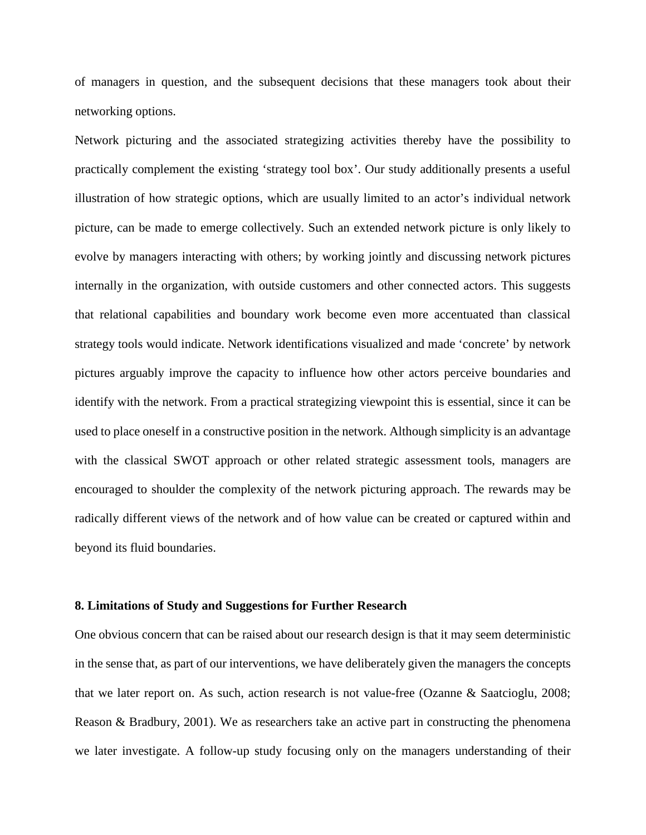of managers in question, and the subsequent decisions that these managers took about their networking options.

Network picturing and the associated strategizing activities thereby have the possibility to practically complement the existing 'strategy tool box'. Our study additionally presents a useful illustration of how strategic options, which are usually limited to an actor's individual network picture, can be made to emerge collectively. Such an extended network picture is only likely to evolve by managers interacting with others; by working jointly and discussing network pictures internally in the organization, with outside customers and other connected actors. This suggests that relational capabilities and boundary work become even more accentuated than classical strategy tools would indicate. Network identifications visualized and made 'concrete' by network pictures arguably improve the capacity to influence how other actors perceive boundaries and identify with the network. From a practical strategizing viewpoint this is essential, since it can be used to place oneself in a constructive position in the network. Although simplicity is an advantage with the classical SWOT approach or other related strategic assessment tools, managers are encouraged to shoulder the complexity of the network picturing approach. The rewards may be radically different views of the network and of how value can be created or captured within and beyond its fluid boundaries.

#### **8. Limitations of Study and Suggestions for Further Research**

One obvious concern that can be raised about our research design is that it may seem deterministic in the sense that, as part of our interventions, we have deliberately given the managers the concepts that we later report on. As such, action research is not value-free (Ozanne & Saatcioglu, 2008; Reason & Bradbury, 2001). We as researchers take an active part in constructing the phenomena we later investigate. A follow-up study focusing only on the managers understanding of their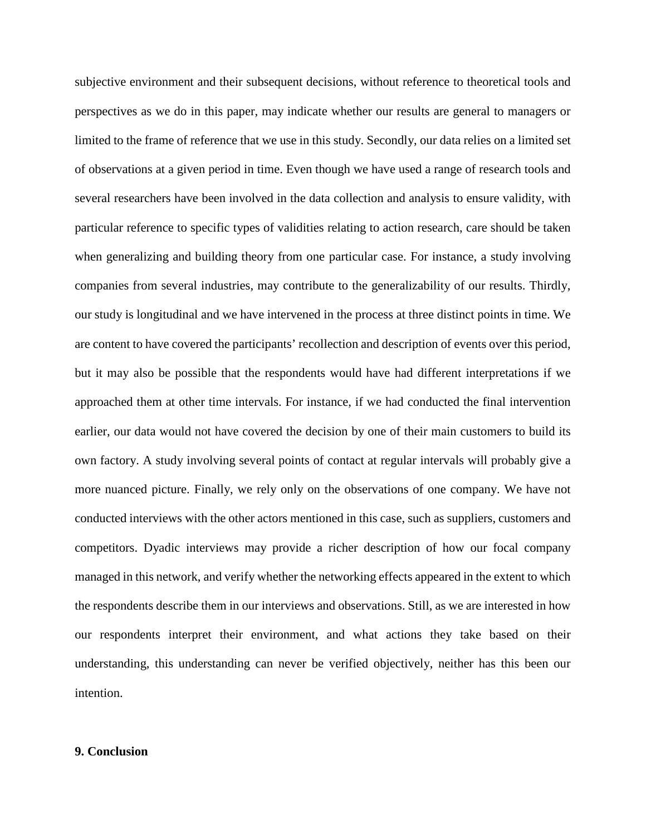subjective environment and their subsequent decisions, without reference to theoretical tools and perspectives as we do in this paper, may indicate whether our results are general to managers or limited to the frame of reference that we use in this study. Secondly, our data relies on a limited set of observations at a given period in time. Even though we have used a range of research tools and several researchers have been involved in the data collection and analysis to ensure validity, with particular reference to specific types of validities relating to action research, care should be taken when generalizing and building theory from one particular case. For instance, a study involving companies from several industries, may contribute to the generalizability of our results. Thirdly, our study is longitudinal and we have intervened in the process at three distinct points in time. We are content to have covered the participants' recollection and description of events over this period, but it may also be possible that the respondents would have had different interpretations if we approached them at other time intervals. For instance, if we had conducted the final intervention earlier, our data would not have covered the decision by one of their main customers to build its own factory. A study involving several points of contact at regular intervals will probably give a more nuanced picture. Finally, we rely only on the observations of one company. We have not conducted interviews with the other actors mentioned in this case, such as suppliers, customers and competitors. Dyadic interviews may provide a richer description of how our focal company managed in this network, and verify whether the networking effects appeared in the extent to which the respondents describe them in our interviews and observations. Still, as we are interested in how our respondents interpret their environment, and what actions they take based on their understanding, this understanding can never be verified objectively, neither has this been our intention.

#### **9. Conclusion**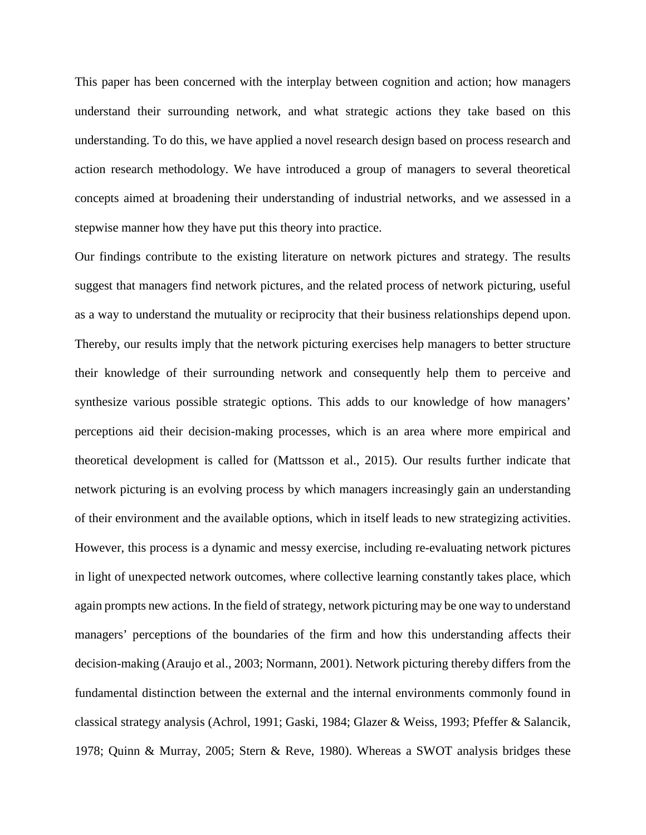This paper has been concerned with the interplay between cognition and action; how managers understand their surrounding network, and what strategic actions they take based on this understanding. To do this, we have applied a novel research design based on process research and action research methodology. We have introduced a group of managers to several theoretical concepts aimed at broadening their understanding of industrial networks, and we assessed in a stepwise manner how they have put this theory into practice.

Our findings contribute to the existing literature on network pictures and strategy. The results suggest that managers find network pictures, and the related process of network picturing, useful as a way to understand the mutuality or reciprocity that their business relationships depend upon. Thereby, our results imply that the network picturing exercises help managers to better structure their knowledge of their surrounding network and consequently help them to perceive and synthesize various possible strategic options. This adds to our knowledge of how managers' perceptions aid their decision-making processes, which is an area where more empirical and theoretical development is called for (Mattsson et al., 2015). Our results further indicate that network picturing is an evolving process by which managers increasingly gain an understanding of their environment and the available options, which in itself leads to new strategizing activities. However, this process is a dynamic and messy exercise, including re-evaluating network pictures in light of unexpected network outcomes, where collective learning constantly takes place, which again prompts new actions. In the field of strategy, network picturing may be one way to understand managers' perceptions of the boundaries of the firm and how this understanding affects their decision-making (Araujo et al., 2003; Normann, 2001). Network picturing thereby differs from the fundamental distinction between the external and the internal environments commonly found in classical strategy analysis (Achrol, 1991; Gaski, 1984; Glazer & Weiss, 1993; Pfeffer & Salancik, 1978; Quinn & Murray, 2005; Stern & Reve, 1980). Whereas a SWOT analysis bridges these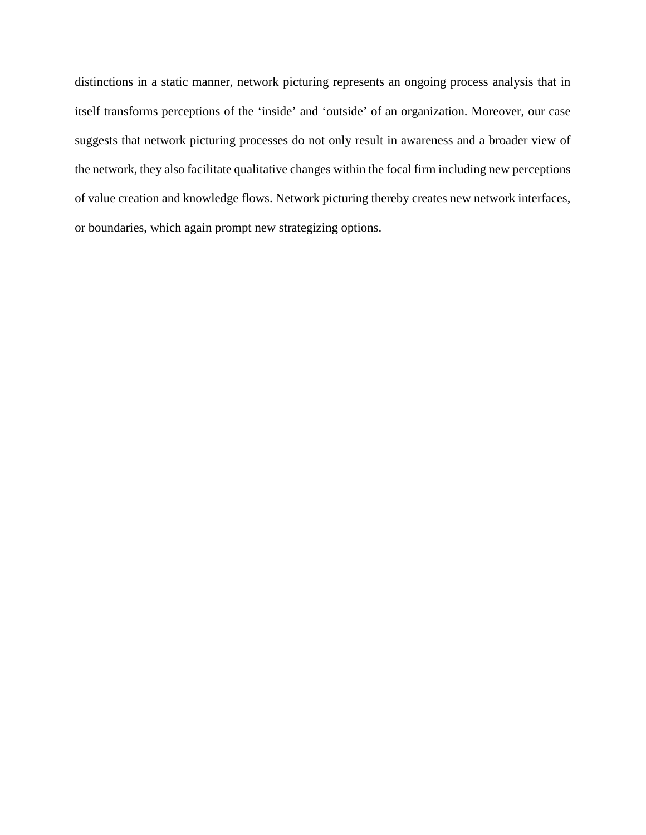distinctions in a static manner, network picturing represents an ongoing process analysis that in itself transforms perceptions of the 'inside' and 'outside' of an organization. Moreover, our case suggests that network picturing processes do not only result in awareness and a broader view of the network, they also facilitate qualitative changes within the focal firm including new perceptions of value creation and knowledge flows. Network picturing thereby creates new network interfaces, or boundaries, which again prompt new strategizing options.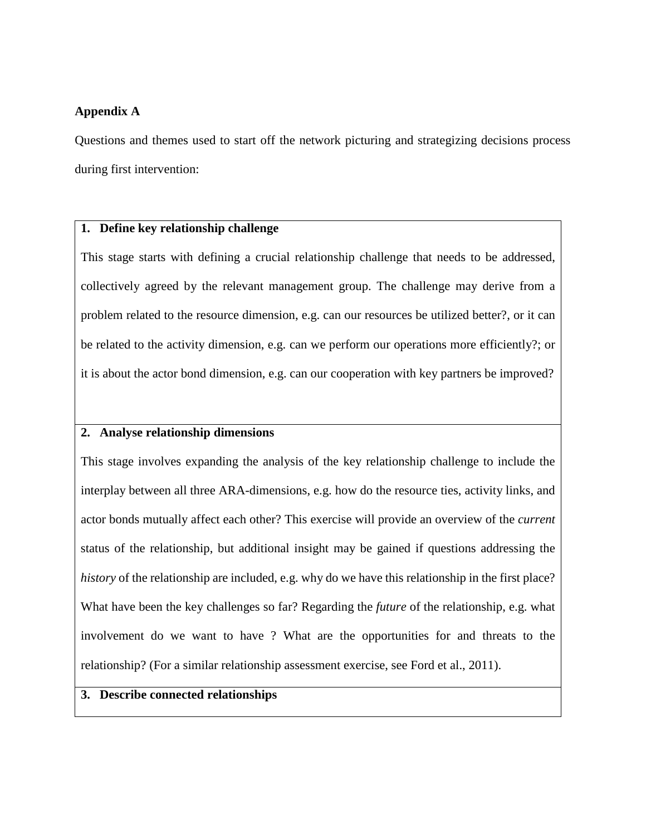#### **Appendix A**

Questions and themes used to start off the network picturing and strategizing decisions process during first intervention:

## **1. Define key relationship challenge**

This stage starts with defining a crucial relationship challenge that needs to be addressed, collectively agreed by the relevant management group. The challenge may derive from a problem related to the resource dimension, e.g. can our resources be utilized better?, or it can be related to the activity dimension, e.g. can we perform our operations more efficiently?; or it is about the actor bond dimension, e.g. can our cooperation with key partners be improved?

## **2. Analyse relationship dimensions**

This stage involves expanding the analysis of the key relationship challenge to include the interplay between all three ARA-dimensions, e.g. how do the resource ties, activity links, and actor bonds mutually affect each other? This exercise will provide an overview of the *current* status of the relationship, but additional insight may be gained if questions addressing the *history* of the relationship are included, e.g. why do we have this relationship in the first place? What have been the key challenges so far? Regarding the *future* of the relationship, e.g. what involvement do we want to have ? What are the opportunities for and threats to the relationship? (For a similar relationship assessment exercise, see Ford et al., 2011).

## **3. Describe connected relationships**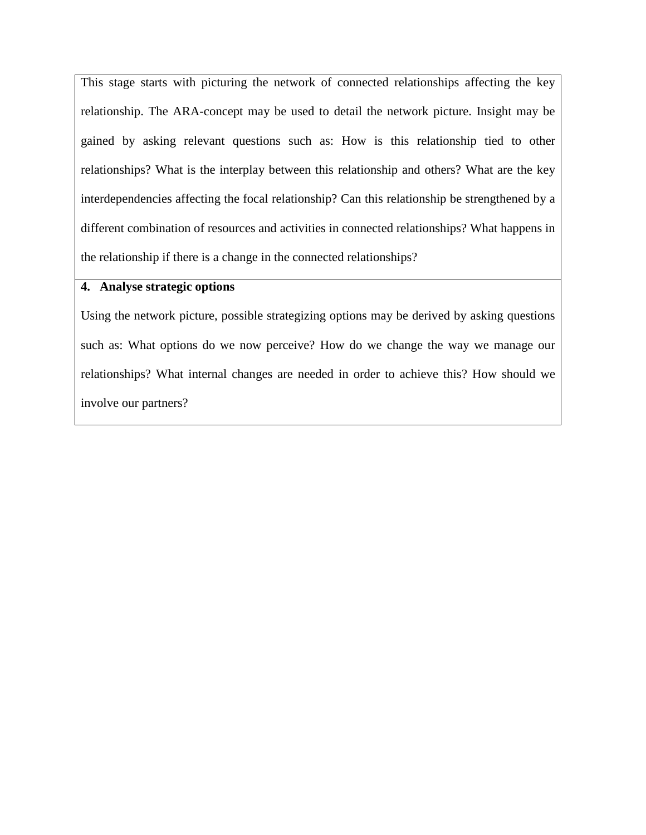This stage starts with picturing the network of connected relationships affecting the key relationship. The ARA-concept may be used to detail the network picture. Insight may be gained by asking relevant questions such as: How is this relationship tied to other relationships? What is the interplay between this relationship and others? What are the key interdependencies affecting the focal relationship? Can this relationship be strengthened by a different combination of resources and activities in connected relationships? What happens in the relationship if there is a change in the connected relationships?

## **4. Analyse strategic options**

Using the network picture, possible strategizing options may be derived by asking questions such as: What options do we now perceive? How do we change the way we manage our relationships? What internal changes are needed in order to achieve this? How should we involve our partners?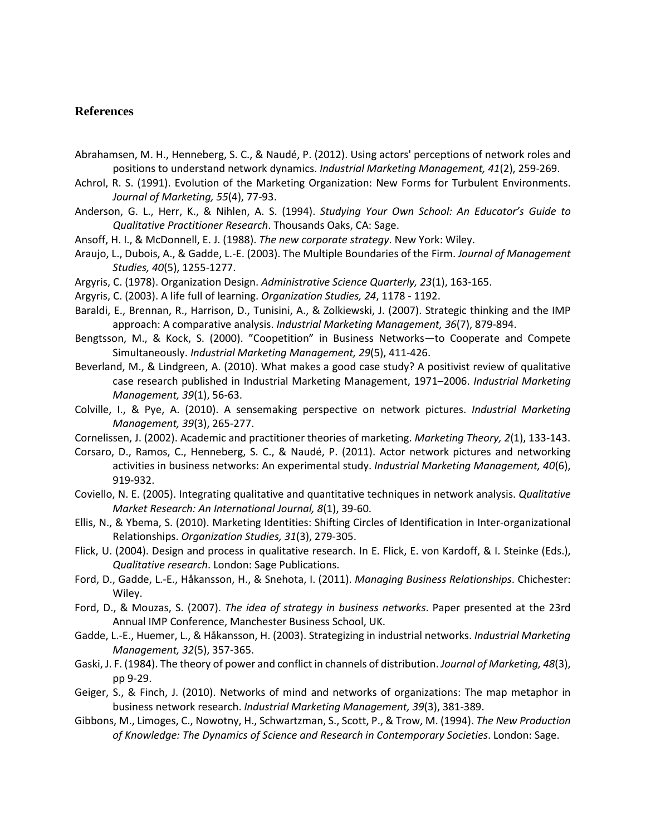#### **References**

- Abrahamsen, M. H., Henneberg, S. C., & Naudé, P. (2012). Using actors' perceptions of network roles and positions to understand network dynamics. *Industrial Marketing Management, 41*(2), 259-269.
- Achrol, R. S. (1991). Evolution of the Marketing Organization: New Forms for Turbulent Environments. *Journal of Marketing, 55*(4), 77-93.
- Anderson, G. L., Herr, K., & Nihlen, A. S. (1994). *Studying Your Own School: An Educator's Guide to Qualitative Practitioner Research*. Thousands Oaks, CA: Sage.
- Ansoff, H. I., & McDonnell, E. J. (1988). *The new corporate strategy*. New York: Wiley.
- Araujo, L., Dubois, A., & Gadde, L.-E. (2003). The Multiple Boundaries of the Firm. *Journal of Management Studies, 40*(5), 1255-1277.
- Argyris, C. (1978). Organization Design. *Administrative Science Quarterly, 23*(1), 163-165.
- Argyris, C. (2003). A life full of learning. *Organization Studies, 24*, 1178 1192.
- Baraldi, E., Brennan, R., Harrison, D., Tunisini, A., & Zolkiewski, J. (2007). Strategic thinking and the IMP approach: A comparative analysis. *Industrial Marketing Management, 36*(7), 879-894.
- Bengtsson, M., & Kock, S. (2000). "Coopetition" in Business Networks—to Cooperate and Compete Simultaneously. *Industrial Marketing Management, 29*(5), 411-426.
- Beverland, M., & Lindgreen, A. (2010). What makes a good case study? A positivist review of qualitative case research published in Industrial Marketing Management, 1971–2006. *Industrial Marketing Management, 39*(1), 56-63.
- Colville, I., & Pye, A. (2010). A sensemaking perspective on network pictures. *Industrial Marketing Management, 39*(3), 265-277.
- Cornelissen, J. (2002). Academic and practitioner theories of marketing. *Marketing Theory, 2*(1), 133-143.
- Corsaro, D., Ramos, C., Henneberg, S. C., & Naudé, P. (2011). Actor network pictures and networking activities in business networks: An experimental study. *Industrial Marketing Management, 40*(6), 919-932.
- Coviello, N. E. (2005). Integrating qualitative and quantitative techniques in network analysis. *Qualitative Market Research: An International Journal, 8*(1), 39-60.
- Ellis, N., & Ybema, S. (2010). Marketing Identities: Shifting Circles of Identification in Inter-organizational Relationships. *Organization Studies, 31*(3), 279-305.
- Flick, U. (2004). Design and process in qualitative research. In E. Flick, E. von Kardoff, & I. Steinke (Eds.), *Qualitative research*. London: Sage Publications.
- Ford, D., Gadde, L.-E., Håkansson, H., & Snehota, I. (2011). *Managing Business Relationships*. Chichester: Wiley.
- Ford, D., & Mouzas, S. (2007). *The idea of strategy in business networks*. Paper presented at the 23rd Annual IMP Conference, Manchester Business School, UK.
- Gadde, L.-E., Huemer, L., & Håkansson, H. (2003). Strategizing in industrial networks. *Industrial Marketing Management, 32*(5), 357-365.
- Gaski, J. F. (1984). The theory of power and conflict in channels of distribution. *Journal of Marketing, 48*(3), pp 9-29.
- Geiger, S., & Finch, J. (2010). Networks of mind and networks of organizations: The map metaphor in business network research. *Industrial Marketing Management, 39*(3), 381-389.
- Gibbons, M., Limoges, C., Nowotny, H., Schwartzman, S., Scott, P., & Trow, M. (1994). *The New Production of Knowledge: The Dynamics of Science and Research in Contemporary Societies*. London: Sage.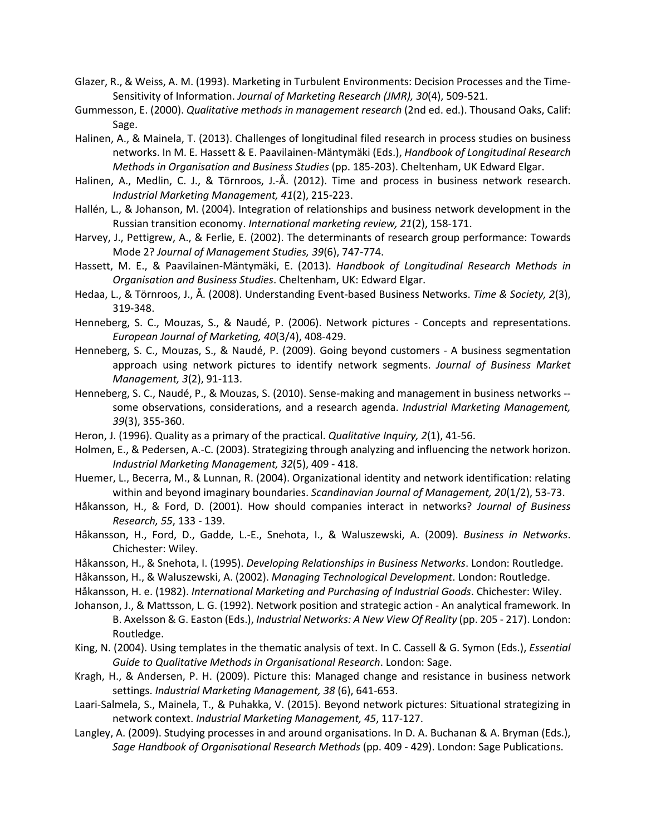- Glazer, R., & Weiss, A. M. (1993). Marketing in Turbulent Environments: Decision Processes and the Time-Sensitivity of Information. *Journal of Marketing Research (JMR), 30*(4), 509-521.
- Gummesson, E. (2000). *Qualitative methods in management research* (2nd ed. ed.). Thousand Oaks, Calif: Sage.
- Halinen, A., & Mainela, T. (2013). Challenges of longitudinal filed research in process studies on business networks. In M. E. Hassett & E. Paavilainen-Mäntymäki (Eds.), *Handbook of Longitudinal Research Methods in Organisation and Business Studies* (pp. 185-203). Cheltenham, UK Edward Elgar.
- Halinen, A., Medlin, C. J., & Törnroos, J.-Å. (2012). Time and process in business network research. *Industrial Marketing Management, 41*(2), 215-223.
- Hallén, L., & Johanson, M. (2004). Integration of relationships and business network development in the Russian transition economy. *International marketing review, 21*(2), 158-171.
- Harvey, J., Pettigrew, A., & Ferlie, E. (2002). The determinants of research group performance: Towards Mode 2? *Journal of Management Studies, 39*(6), 747-774.
- Hassett, M. E., & Paavilainen-Mäntymäki, E. (2013). *Handbook of Longitudinal Research Methods in Organisation and Business Studies*. Cheltenham, UK: Edward Elgar.
- Hedaa, L., & Törnroos, J., Å. (2008). Understanding Event-based Business Networks. *Time & Society, 2*(3), 319-348.
- Henneberg, S. C., Mouzas, S., & Naudé, P. (2006). Network pictures Concepts and representations. *European Journal of Marketing, 40*(3/4), 408-429.
- Henneberg, S. C., Mouzas, S., & Naudé, P. (2009). Going beyond customers A business segmentation approach using network pictures to identify network segments. *Journal of Business Market Management, 3*(2), 91-113.
- Henneberg, S. C., Naudé, P., & Mouzas, S. (2010). Sense-making and management in business networks some observations, considerations, and a research agenda. *Industrial Marketing Management, 39*(3), 355-360.
- Heron, J. (1996). Quality as a primary of the practical. *Qualitative Inquiry, 2*(1), 41-56.
- Holmen, E., & Pedersen, A.-C. (2003). Strategizing through analyzing and influencing the network horizon. *Industrial Marketing Management, 32*(5), 409 - 418.
- Huemer, L., Becerra, M., & Lunnan, R. (2004). Organizational identity and network identification: relating within and beyond imaginary boundaries. *Scandinavian Journal of Management, 20*(1/2), 53-73.
- Håkansson, H., & Ford, D. (2001). How should companies interact in networks? *Journal of Business Research, 55*, 133 - 139.
- Håkansson, H., Ford, D., Gadde, L.-E., Snehota, I., & Waluszewski, A. (2009). *Business in Networks*. Chichester: Wiley.
- Håkansson, H., & Snehota, I. (1995). *Developing Relationships in Business Networks*. London: Routledge.
- Håkansson, H., & Waluszewski, A. (2002). *Managing Technological Development*. London: Routledge.
- Håkansson, H. e. (1982). *International Marketing and Purchasing of Industrial Goods*. Chichester: Wiley.
- Johanson, J., & Mattsson, L. G. (1992). Network position and strategic action An analytical framework. In B. Axelsson & G. Easton (Eds.), *Industrial Networks: A New View Of Reality* (pp. 205 - 217). London: Routledge.
- King, N. (2004). Using templates in the thematic analysis of text. In C. Cassell & G. Symon (Eds.), *Essential Guide to Qualitative Methods in Organisational Research*. London: Sage.
- Kragh, H., & Andersen, P. H. (2009). Picture this: Managed change and resistance in business network settings. *Industrial Marketing Management, 38* (6), 641-653.
- Laari-Salmela, S., Mainela, T., & Puhakka, V. (2015). Beyond network pictures: Situational strategizing in network context. *Industrial Marketing Management, 45*, 117-127.
- Langley, A. (2009). Studying processes in and around organisations. In D. A. Buchanan & A. Bryman (Eds.), *Sage Handbook of Organisational Research Methods* (pp. 409 - 429). London: Sage Publications.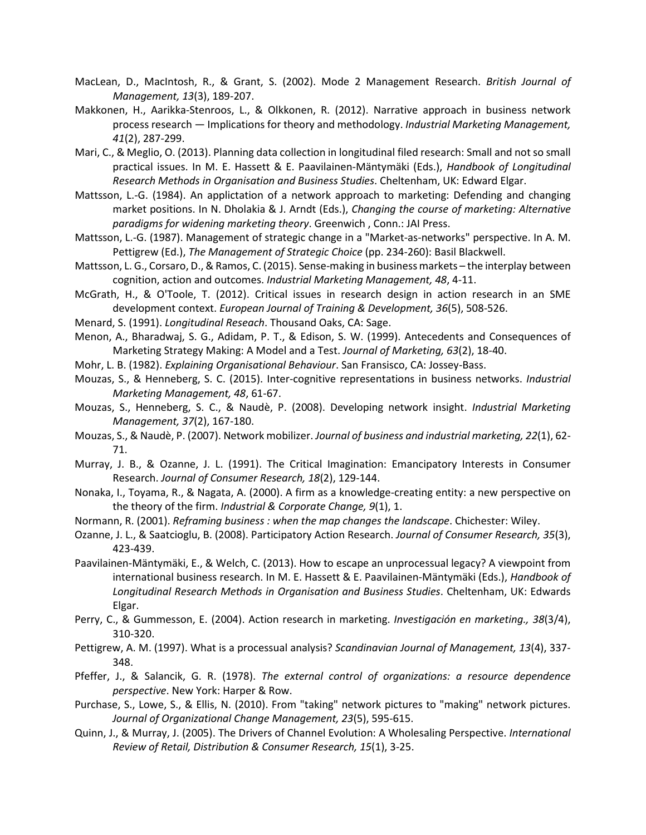- MacLean, D., MacIntosh, R., & Grant, S. (2002). Mode 2 Management Research. *British Journal of Management, 13*(3), 189-207.
- Makkonen, H., Aarikka-Stenroos, L., & Olkkonen, R. (2012). Narrative approach in business network process research — Implications for theory and methodology. *Industrial Marketing Management, 41*(2), 287-299.
- Mari, C., & Meglio, O. (2013). Planning data collection in longitudinal filed research: Small and not so small practical issues. In M. E. Hassett & E. Paavilainen-Mäntymäki (Eds.), *Handbook of Longitudinal Research Methods in Organisation and Business Studies*. Cheltenham, UK: Edward Elgar.
- Mattsson, L.-G. (1984). An applictation of a network approach to marketing: Defending and changing market positions. In N. Dholakia & J. Arndt (Eds.), *Changing the course of marketing: Alternative paradigms for widening marketing theory*. Greenwich , Conn.: JAI Press.
- Mattsson, L.-G. (1987). Management of strategic change in a "Market-as-networks" perspective. In A. M. Pettigrew (Ed.), *The Management of Strategic Choice* (pp. 234-260): Basil Blackwell.
- Mattsson, L. G., Corsaro, D., & Ramos, C. (2015). Sense-making in business markets the interplay between cognition, action and outcomes. *Industrial Marketing Management, 48*, 4-11.
- McGrath, H., & O'Toole, T. (2012). Critical issues in research design in action research in an SME development context. *European Journal of Training & Development, 36*(5), 508-526.
- Menard, S. (1991). *Longitudinal Reseach*. Thousand Oaks, CA: Sage.
- Menon, A., Bharadwaj, S. G., Adidam, P. T., & Edison, S. W. (1999). Antecedents and Consequences of Marketing Strategy Making: A Model and a Test. *Journal of Marketing, 63*(2), 18-40.
- Mohr, L. B. (1982). *Explaining Organisational Behaviour*. San Fransisco, CA: Jossey-Bass.
- Mouzas, S., & Henneberg, S. C. (2015). Inter-cognitive representations in business networks. *Industrial Marketing Management, 48*, 61-67.
- Mouzas, S., Henneberg, S. C., & Naudè, P. (2008). Developing network insight. *Industrial Marketing Management, 37*(2), 167-180.
- Mouzas, S., & Naudè, P. (2007). Network mobilizer. *Journal of business and industrial marketing, 22*(1), 62- 71.
- Murray, J. B., & Ozanne, J. L. (1991). The Critical Imagination: Emancipatory Interests in Consumer Research. *Journal of Consumer Research, 18*(2), 129-144.
- Nonaka, I., Toyama, R., & Nagata, A. (2000). A firm as a knowledge-creating entity: a new perspective on the theory of the firm. *Industrial & Corporate Change, 9*(1), 1.
- Normann, R. (2001). *Reframing business : when the map changes the landscape*. Chichester: Wiley.
- Ozanne, J. L., & Saatcioglu, B. (2008). Participatory Action Research. *Journal of Consumer Research, 35*(3), 423-439.
- Paavilainen-Mäntymäki, E., & Welch, C. (2013). How to escape an unprocessual legacy? A viewpoint from international business research. In M. E. Hassett & E. Paavilainen-Mäntymäki (Eds.), *Handbook of Longitudinal Research Methods in Organisation and Business Studies*. Cheltenham, UK: Edwards Elgar.
- Perry, C., & Gummesson, E. (2004). Action research in marketing. *Investigación en marketing., 38*(3/4), 310-320.
- Pettigrew, A. M. (1997). What is a processual analysis? *Scandinavian Journal of Management, 13*(4), 337- 348.
- Pfeffer, J., & Salancik, G. R. (1978). *The external control of organizations: a resource dependence perspective*. New York: Harper & Row.
- Purchase, S., Lowe, S., & Ellis, N. (2010). From "taking" network pictures to "making" network pictures. *Journal of Organizational Change Management, 23*(5), 595-615.
- Quinn, J., & Murray, J. (2005). The Drivers of Channel Evolution: A Wholesaling Perspective. *International Review of Retail, Distribution & Consumer Research, 15*(1), 3-25.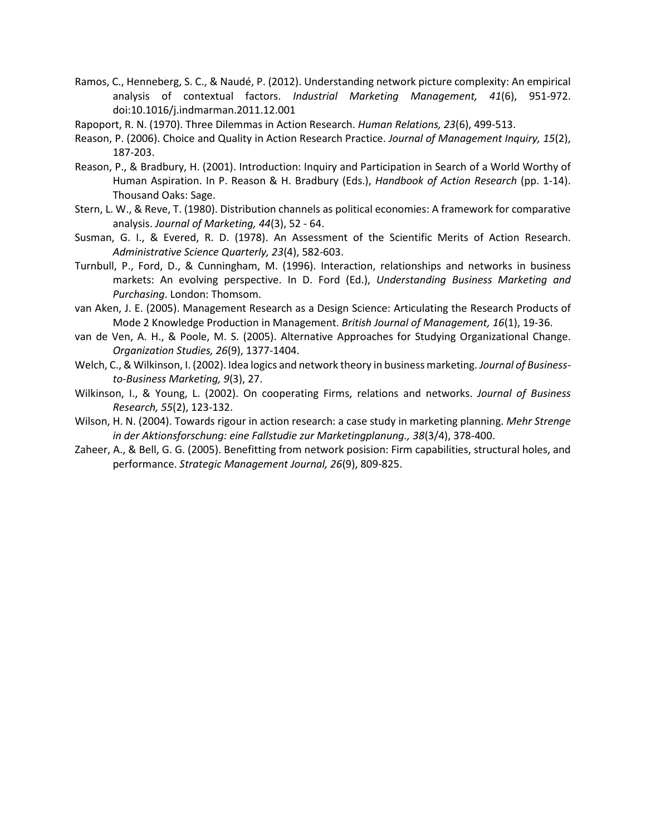- Ramos, C., Henneberg, S. C., & Naudé, P. (2012). Understanding network picture complexity: An empirical analysis of contextual factors. *Industrial Marketing Management, 41*(6), 951-972. doi:10.1016/j.indmarman.2011.12.001
- Rapoport, R. N. (1970). Three Dilemmas in Action Research. *Human Relations, 23*(6), 499-513.
- Reason, P. (2006). Choice and Quality in Action Research Practice. *Journal of Management Inquiry, 15*(2), 187-203.
- Reason, P., & Bradbury, H. (2001). Introduction: Inquiry and Participation in Search of a World Worthy of Human Aspiration. In P. Reason & H. Bradbury (Eds.), *Handbook of Action Research* (pp. 1-14). Thousand Oaks: Sage.
- Stern, L. W., & Reve, T. (1980). Distribution channels as political economies: A framework for comparative analysis. *Journal of Marketing, 44*(3), 52 - 64.
- Susman, G. I., & Evered, R. D. (1978). An Assessment of the Scientific Merits of Action Research. *Administrative Science Quarterly, 23*(4), 582-603.
- Turnbull, P., Ford, D., & Cunningham, M. (1996). Interaction, relationships and networks in business markets: An evolving perspective. In D. Ford (Ed.), *Understanding Business Marketing and Purchasing*. London: Thomsom.
- van Aken, J. E. (2005). Management Research as a Design Science: Articulating the Research Products of Mode 2 Knowledge Production in Management. *British Journal of Management, 16*(1), 19-36.
- van de Ven, A. H., & Poole, M. S. (2005). Alternative Approaches for Studying Organizational Change. *Organization Studies, 26*(9), 1377-1404.
- Welch, C., & Wilkinson, I. (2002). Idea logics and network theory in business marketing. *Journal of Businessto-Business Marketing, 9*(3), 27.
- Wilkinson, I., & Young, L. (2002). On cooperating Firms, relations and networks. *Journal of Business Research, 55*(2), 123-132.
- Wilson, H. N. (2004). Towards rigour in action research: a case study in marketing planning. *Mehr Strenge in der Aktionsforschung: eine Fallstudie zur Marketingplanung., 38*(3/4), 378-400.
- Zaheer, A., & Bell, G. G. (2005). Benefitting from network posision: Firm capabilities, structural holes, and performance. *Strategic Management Journal, 26*(9), 809-825.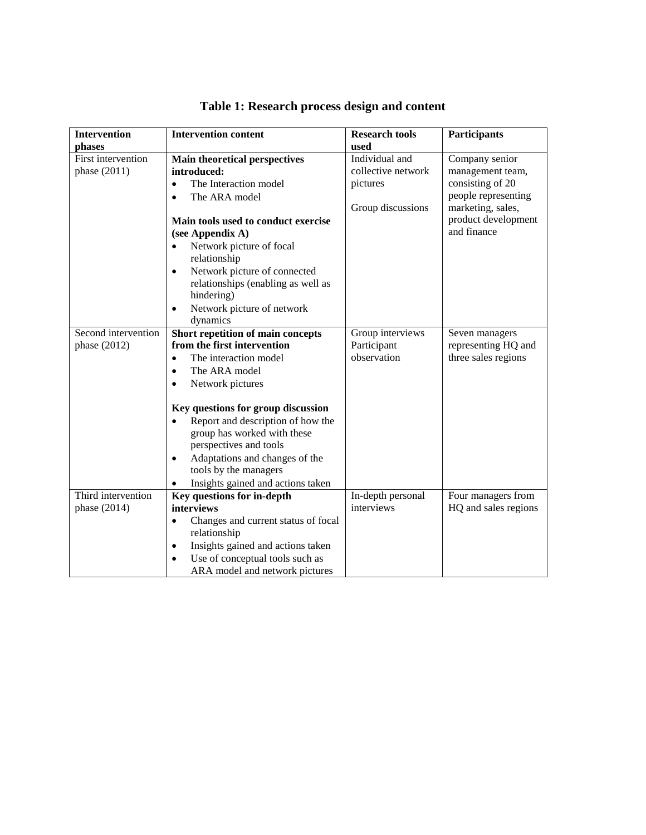| Intervention        | <b>Intervention content</b>                      | <b>Research tools</b> | Participants         |
|---------------------|--------------------------------------------------|-----------------------|----------------------|
| phases              |                                                  | used                  |                      |
| First intervention  | Main theoretical perspectives                    | Individual and        | Company senior       |
| phase (2011)        | introduced:                                      | collective network    | management team,     |
|                     | The Interaction model<br>$\bullet$               | pictures              | consisting of 20     |
|                     | The ARA model<br>$\bullet$                       |                       | people representing  |
|                     |                                                  | Group discussions     | marketing, sales,    |
|                     | Main tools used to conduct exercise              |                       | product development  |
|                     | (see Appendix A)                                 |                       | and finance          |
|                     | Network picture of focal                         |                       |                      |
|                     | relationship                                     |                       |                      |
|                     | Network picture of connected<br>$\bullet$        |                       |                      |
|                     | relationships (enabling as well as               |                       |                      |
|                     | hindering)                                       |                       |                      |
|                     | Network picture of network<br>$\bullet$          |                       |                      |
|                     | dynamics                                         |                       |                      |
| Second intervention | Short repetition of main concepts                | Group interviews      | Seven managers       |
| phase (2012)        | from the first intervention                      | Participant           | representing HQ and  |
|                     | The interaction model<br>$\bullet$               | observation           | three sales regions  |
|                     | The ARA model<br>$\bullet$                       |                       |                      |
|                     | Network pictures<br>$\bullet$                    |                       |                      |
|                     | Key questions for group discussion               |                       |                      |
|                     | Report and description of how the                |                       |                      |
|                     | group has worked with these                      |                       |                      |
|                     | perspectives and tools                           |                       |                      |
|                     | Adaptations and changes of the<br>$\bullet$      |                       |                      |
|                     | tools by the managers                            |                       |                      |
|                     | Insights gained and actions taken                |                       |                      |
| Third intervention  | Key questions for in-depth                       | In-depth personal     | Four managers from   |
| phase (2014)        | interviews                                       | interviews            | HQ and sales regions |
|                     | Changes and current status of focal<br>$\bullet$ |                       |                      |
|                     | relationship                                     |                       |                      |
|                     | Insights gained and actions taken<br>$\bullet$   |                       |                      |
|                     | Use of conceptual tools such as<br>$\bullet$     |                       |                      |
|                     | ARA model and network pictures                   |                       |                      |

**Table 1: Research process design and content**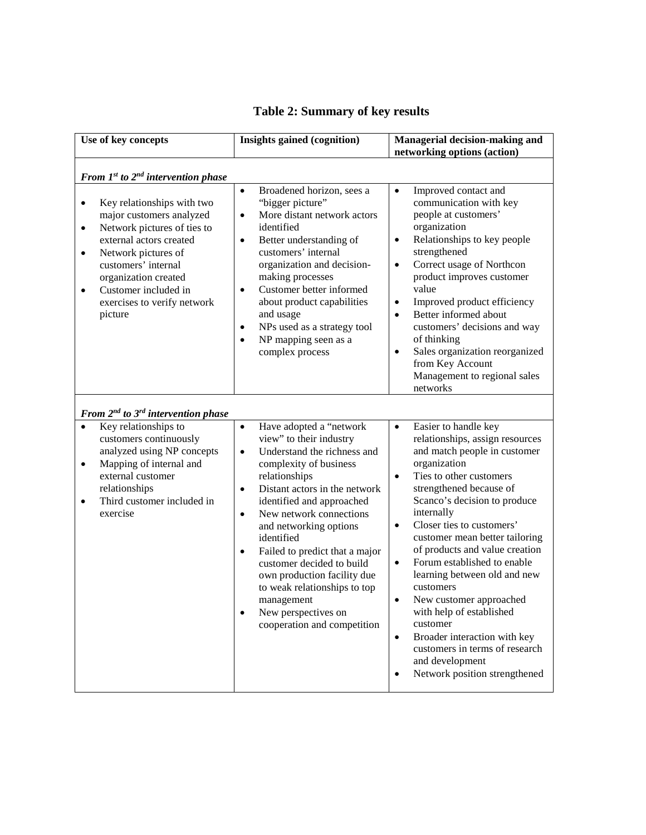| Use of key concepts                                                                                                                                                                                                                                                                                          | <b>Insights gained (cognition)</b>                                                                                                                                                                                                                                                                                                                                                                                                                                                                                               | Managerial decision-making and<br>networking options (action)                                                                                                                                                                                                                                                                                                                                                                                                                                                                                                                                                                                                                |  |  |
|--------------------------------------------------------------------------------------------------------------------------------------------------------------------------------------------------------------------------------------------------------------------------------------------------------------|----------------------------------------------------------------------------------------------------------------------------------------------------------------------------------------------------------------------------------------------------------------------------------------------------------------------------------------------------------------------------------------------------------------------------------------------------------------------------------------------------------------------------------|------------------------------------------------------------------------------------------------------------------------------------------------------------------------------------------------------------------------------------------------------------------------------------------------------------------------------------------------------------------------------------------------------------------------------------------------------------------------------------------------------------------------------------------------------------------------------------------------------------------------------------------------------------------------------|--|--|
| From $1^{st}$ to $2^{nd}$ intervention phase                                                                                                                                                                                                                                                                 |                                                                                                                                                                                                                                                                                                                                                                                                                                                                                                                                  |                                                                                                                                                                                                                                                                                                                                                                                                                                                                                                                                                                                                                                                                              |  |  |
| Key relationships with two<br>$\bullet$<br>major customers analyzed<br>Network pictures of ties to<br>$\bullet$<br>external actors created<br>Network pictures of<br>$\bullet$<br>customers' internal<br>organization created<br>Customer included in<br>$\bullet$<br>exercises to verify network<br>picture | Broadened horizon, sees a<br>$\bullet$<br>"bigger picture"<br>More distant network actors<br>$\bullet$<br>identified<br>Better understanding of<br>$\bullet$<br>customers' internal<br>organization and decision-<br>making processes<br>Customer better informed<br>$\bullet$<br>about product capabilities<br>and usage<br>NPs used as a strategy tool<br>$\bullet$<br>NP mapping seen as a<br>$\bullet$<br>complex process                                                                                                    | Improved contact and<br>$\bullet$<br>communication with key<br>people at customers'<br>organization<br>Relationships to key people<br>$\bullet$<br>strengthened<br>Correct usage of Northcon<br>$\bullet$<br>product improves customer<br>value<br>Improved product efficiency<br>$\bullet$<br>Better informed about<br>$\bullet$<br>customers' decisions and way<br>of thinking<br>Sales organization reorganized<br>$\bullet$<br>from Key Account<br>Management to regional sales<br>networks                                                                                                                                                                              |  |  |
| From 2 <sup>nd</sup> to 3 <sup>rd</sup> intervention phase                                                                                                                                                                                                                                                   |                                                                                                                                                                                                                                                                                                                                                                                                                                                                                                                                  |                                                                                                                                                                                                                                                                                                                                                                                                                                                                                                                                                                                                                                                                              |  |  |
| Key relationships to<br>$\bullet$<br>customers continuously<br>analyzed using NP concepts<br>Mapping of internal and<br>$\bullet$<br>external customer<br>relationships<br>Third customer included in<br>$\bullet$<br>exercise                                                                               | Have adopted a "network<br>$\bullet$<br>view" to their industry<br>Understand the richness and<br>$\bullet$<br>complexity of business<br>relationships<br>Distant actors in the network<br>$\bullet$<br>identified and approached<br>New network connections<br>$\bullet$<br>and networking options<br>identified<br>Failed to predict that a major<br>$\bullet$<br>customer decided to build<br>own production facility due<br>to weak relationships to top<br>management<br>New perspectives on<br>cooperation and competition | Easier to handle key<br>$\bullet$<br>relationships, assign resources<br>and match people in customer<br>organization<br>$\bullet$<br>Ties to other customers<br>strengthened because of<br>Scanco's decision to produce<br>internally<br>Closer ties to customers'<br>$\bullet$<br>customer mean better tailoring<br>of products and value creation<br>Forum established to enable<br>$\bullet$<br>learning between old and new<br>customers<br>$\bullet$<br>New customer approached<br>with help of established<br>customer<br>Broader interaction with key<br>$\bullet$<br>customers in terms of research<br>and development<br>Network position strengthened<br>$\bullet$ |  |  |

## **Table 2: Summary of key results**